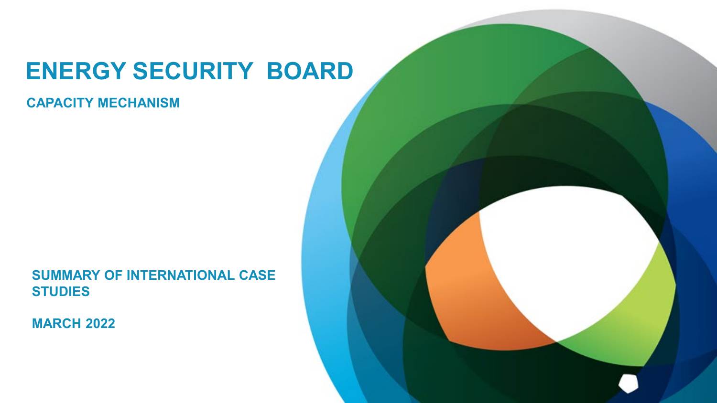# **ENERGY SECURITY BOARD**

**CAPACITY MECHANISM**

**SUMMARY OF INTERNATIONAL CASE STUDIES**

**MARCH 2022**

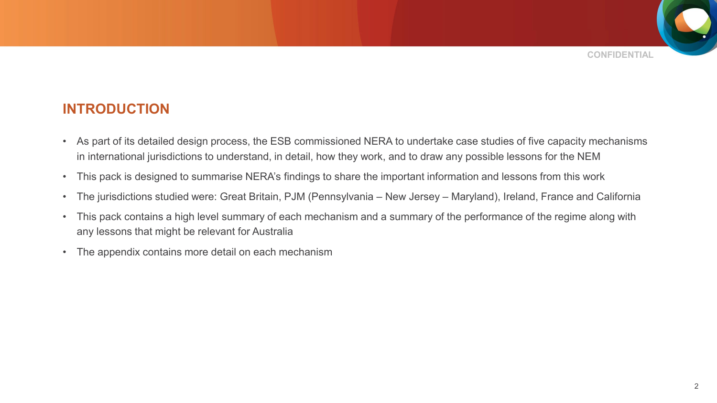

### **INTRODUCTION**

- As part of its detailed design process, the ESB commissioned NERA to undertake case studies of five capacity mechanisms in international jurisdictions to understand, in detail, how they work, and to draw any possible lessons for the NEM
- This pack is designed to summarise NERA's findings to share the important information and lessons from this work
- The jurisdictions studied were: Great Britain, PJM (Pennsylvania New Jersey Maryland), Ireland, France and California
- This pack contains a high level summary of each mechanism and a summary of the performance of the regime along with any lessons that might be relevant for Australia
- The appendix contains more detail on each mechanism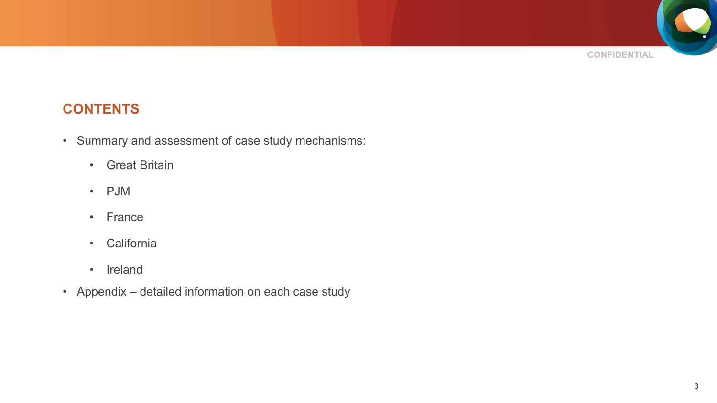

## **CONTENTS**

- Summary and assessment of case study mechanisms:
	- Great Britain
	- PJM
	- France
	- California
	- Ireland
- Appendix detailed information on each case study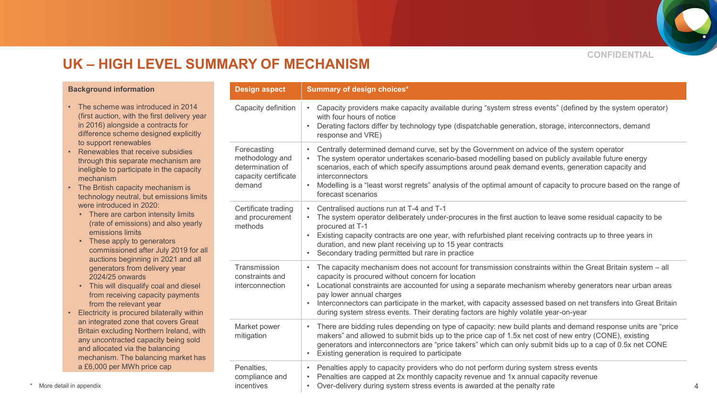**CONFIDENTIAL**

### **UK – HIGH LEVEL SUMMARY OF MECHANISM**

#### **Background information**

- The scheme was introduced in 2014 (first auction, with the first delivery year in 2016) alongside a contracts for difference scheme designed explicitly to support renewables
- Renewables that receive subsidies through this separate mechanism are ineligible to participate in the capacity mechanism
- The British capacity mechanism is technology neutral, but emissions limits were introduced in 2020:
	- There are carbon intensity limits (rate of emissions) and also yearly emissions limits
	- These apply to generators commissioned after July 2019 for all auctions beginning in 2021 and all generators from delivery year 2024/25 onwards
	- This will disqualify coal and diesel from receiving capacity payments from the relevant year
- Electricity is procured bilaterally within an integrated zone that covers Great Britain excluding Northern Ireland, with any uncontracted capacity being sold and allocated via the balancing mechanism. The balancing market has a £6,000 per MWh price cap

| <b>Design aspect</b>                                                                 | <b>Summary of design choices*</b>                                                                                                                                                                                                                                                                                                                                                                                                                                                                                                                        |
|--------------------------------------------------------------------------------------|----------------------------------------------------------------------------------------------------------------------------------------------------------------------------------------------------------------------------------------------------------------------------------------------------------------------------------------------------------------------------------------------------------------------------------------------------------------------------------------------------------------------------------------------------------|
| Capacity definition                                                                  | Capacity providers make capacity available during "system stress events" (defined by the system operator)<br>$\bullet$<br>with four hours of notice<br>Derating factors differ by technology type (dispatchable generation, storage, interconnectors, demand<br>$\bullet$<br>response and VRE)                                                                                                                                                                                                                                                           |
| Forecasting<br>methodology and<br>determination of<br>capacity certificate<br>demand | Centrally determined demand curve, set by the Government on advice of the system operator<br>$\bullet$<br>The system operator undertakes scenario-based modelling based on publicly available future energy<br>$\bullet$<br>scenarios, each of which specify assumptions around peak demand events, generation capacity and<br>interconnectors<br>Modelling is a "least worst regrets" analysis of the optimal amount of capacity to procure based on the range of<br>$\bullet$<br>forecast scenarios                                                    |
| Certificate trading<br>and procurement<br>methods                                    | Centralised auctions run at T-4 and T-1<br>$\bullet$<br>The system operator deliberately under-procures in the first auction to leave some residual capacity to be<br>$\bullet$<br>procured at T-1<br>Existing capacity contracts are one year, with refurbished plant receiving contracts up to three years in<br>$\bullet$<br>duration, and new plant receiving up to 15 year contracts<br>Secondary trading permitted but rare in practice<br>$\bullet$                                                                                               |
| Transmission<br>constraints and<br>interconnection                                   | The capacity mechanism does not account for transmission constraints within the Great Britain system - all<br>$\bullet$<br>capacity is procured without concern for location<br>Locational constraints are accounted for using a separate mechanism whereby generators near urban areas<br>$\bullet$<br>pay lower annual charges<br>Interconnectors can participate in the market, with capacity assessed based on net transfers into Great Britain<br>$\bullet$<br>during system stress events. Their derating factors are highly volatile year-on-year |
| Market power<br>mitigation                                                           | There are bidding rules depending on type of capacity: new build plants and demand response units are "price"<br>$\bullet$<br>makers" and allowed to submit bids up to the price cap of 1.5x net cost of new entry (CONE), existing<br>generators and interconnectors are "price takers" which can only submit bids up to a cap of 0.5x net CONE<br>Existing generation is required to participate<br>$\bullet$                                                                                                                                          |
| Penalties,<br>compliance and<br>incentives                                           | Penalties apply to capacity providers who do not perform during system stress events<br>$\bullet$<br>Penalties are capped at 2x monthly capacity revenue and 1x annual capacity revenue<br>$\bullet$<br>Over-delivery during system stress events is awarded at the penalty rate<br>$\bullet$                                                                                                                                                                                                                                                            |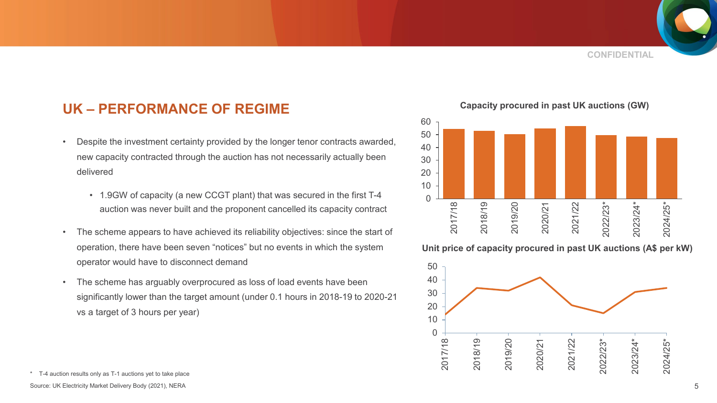### **UK – PERFORMANCE OF REGIME**

- Despite the investment certainty provided by the longer tenor contracts awarded, new capacity contracted through the auction has not necessarily actually been delivered
	- 1.9GW of capacity (a new CCGT plant) that was secured in the first T-4 auction was never built and the proponent cancelled its capacity contract
- The scheme appears to have achieved its reliability objectives: since the start of operation, there have been seven "notices" but no events in which the system operator would have to disconnect demand
- The scheme has arguably overprocured as loss of load events have been significantly lower than the target amount (under 0.1 hours in 2018-19 to 2020-21 vs a target of 3 hours per year)

**Capacity procured in past UK auctions (GW)**



#### **Unit price of capacity procured in past UK auctions (A\$ per kW)**



<sup>\*</sup> T-4 auction results only as T-1 auctions yet to take place

Source: UK Electricity Market Delivery Body (2021), NERA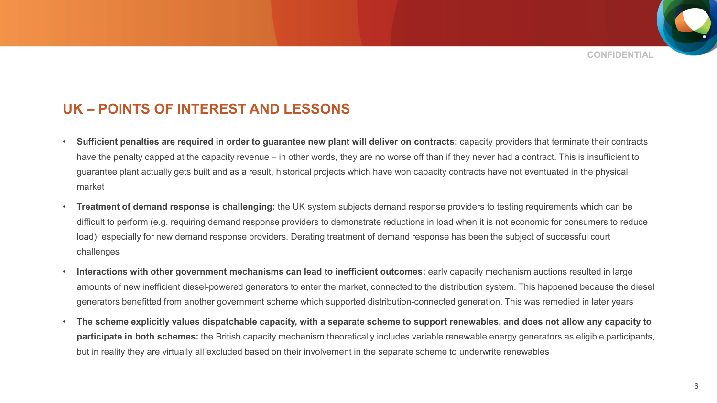**CONFIDENTIAL**

### **UK – POINTS OF INTEREST AND LESSONS**

- **Sufficient penalties are required in order to guarantee new plant will deliver on contracts:** capacity providers that terminate their contracts have the penalty capped at the capacity revenue – in other words, they are no worse off than if they never had a contract. This is insufficient to guarantee plant actually gets built and as a result, historical projects which have won capacity contracts have not eventuated in the physical market
- **Treatment of demand response is challenging:** the UK system subjects demand response providers to testing requirements which can be difficult to perform (e.g. requiring demand response providers to demonstrate reductions in load when it is not economic for consumers to reduce load), especially for new demand response providers. Derating treatment of demand response has been the subject of successful court challenges
- **Interactions with other government mechanisms can lead to inefficient outcomes:** early capacity mechanism auctions resulted in large amounts of new inefficient diesel-powered generators to enter the market, connected to the distribution system. This happened because the diesel generators benefitted from another government scheme which supported distribution-connected generation. This was remedied in later years
- **The scheme explicitly values dispatchable capacity, with a separate scheme to support renewables, and does not allow any capacity to participate in both schemes:** the British capacity mechanism theoretically includes variable renewable energy generators as eligible participants, but in reality they are virtually all excluded based on their involvement in the separate scheme to underwrite renewables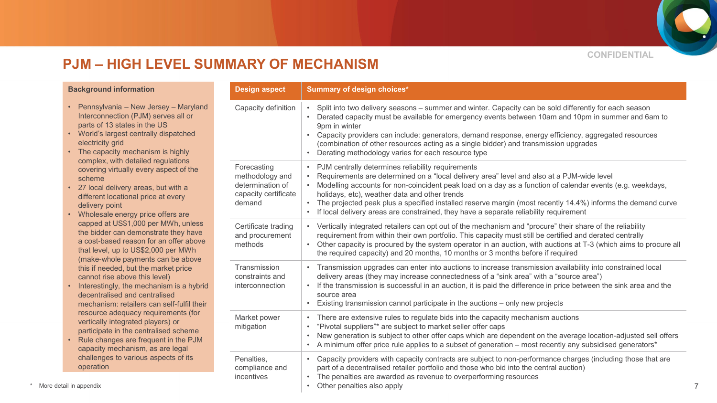

### **PJM – HIGH LEVEL SUMMARY OF MECHANISM**

#### **Background information**

- Pennsylvania New Jersey Maryland Interconnection (PJM) serves all or parts of 13 states in the US
- World's largest centrally dispatched electricity grid
- The capacity mechanism is highly complex, with detailed regulations covering virtually every aspect of the scheme
- 27 local delivery areas, but with a different locational price at every delivery point
- Wholesale energy price offers are capped at US\$1,000 per MWh, unless the bidder can demonstrate they have a cost-based reason for an offer above that level, up to US\$2,000 per MWh (make-whole payments can be above this if needed, but the market price cannot rise above this level)
- Interestingly, the mechanism is a hybrid decentralised and centralised mechanism: retailers can self-fulfil their resource adequacy requirements (for vertically integrated players) or participate in the centralised scheme
- Rule changes are frequent in the PJM capacity mechanism, as are legal challenges to various aspects of its operation

| <b>Design aspect</b>                                                                 | <b>Summary of design choices*</b>                                                                                                                                                                                                                                                                                                                                                                                                                                                                                                              |
|--------------------------------------------------------------------------------------|------------------------------------------------------------------------------------------------------------------------------------------------------------------------------------------------------------------------------------------------------------------------------------------------------------------------------------------------------------------------------------------------------------------------------------------------------------------------------------------------------------------------------------------------|
| Capacity definition                                                                  | Split into two delivery seasons - summer and winter. Capacity can be sold differently for each season<br>$\bullet$<br>Derated capacity must be available for emergency events between 10am and 10pm in summer and 6am to<br>9pm in winter<br>Capacity providers can include: generators, demand response, energy efficiency, aggregated resources<br>$\bullet$<br>(combination of other resources acting as a single bidder) and transmission upgrades<br>Derating methodology varies for each resource type<br>$\bullet$                      |
| Forecasting<br>methodology and<br>determination of<br>capacity certificate<br>demand | PJM centrally determines reliability requirements<br>$\bullet$<br>Requirements are determined on a "local delivery area" level and also at a PJM-wide level<br>$\bullet$<br>Modelling accounts for non-coincident peak load on a day as a function of calendar events (e.g. weekdays,<br>holidays, etc), weather data and other trends<br>The projected peak plus a specified installed reserve margin (most recently 14.4%) informs the demand curve<br>If local delivery areas are constrained, they have a separate reliability requirement |
| Certificate trading<br>and procurement<br>methods                                    | • Vertically integrated retailers can opt out of the mechanism and "procure" their share of the reliability<br>requirement from within their own portfolio. This capacity must still be certified and derated centrally<br>Other capacity is procured by the system operator in an auction, with auctions at T-3 (which aims to procure all<br>the required capacity) and 20 months, 10 months or 3 months before if required                                                                                                                  |
| Transmission<br>constraints and<br>interconnection                                   | Transmission upgrades can enter into auctions to increase transmission availability into constrained local<br>$\bullet$<br>delivery areas (they may increase connectedness of a "sink area" with a "source area")<br>If the transmission is successful in an auction, it is paid the difference in price between the sink area and the<br>source area<br>Existing transmission cannot participate in the auctions – only new projects<br>$\bullet$                                                                                             |
| Market power<br>mitigation                                                           | There are extensive rules to regulate bids into the capacity mechanism auctions<br>$\bullet$<br>"Pivotal suppliers"* are subject to market seller offer caps<br>$\bullet$<br>New generation is subject to other offer caps which are dependent on the average location-adjusted sell offers<br>$\bullet$<br>A minimum offer price rule applies to a subset of generation – most recently any subsidised generators*<br>$\bullet$                                                                                                               |
| Penalties,<br>compliance and<br>incentives                                           | Capacity providers with capacity contracts are subject to non-performance charges (including those that are<br>$\bullet$<br>part of a decentralised retailer portfolio and those who bid into the central auction)<br>The penalties are awarded as revenue to overperforming resources<br>Other penalties also apply<br>$\bullet$                                                                                                                                                                                                              |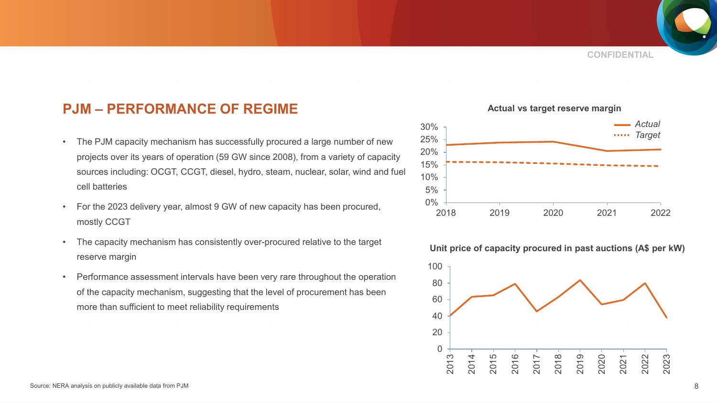

### **PJM – PERFORMANCE OF REGIME**

- The PJM capacity mechanism has successfully procured a large number of new projects over its years of operation (59 GW since 2008), from a variety of capacity sources including: OCGT, CCGT, diesel, hydro, steam, nuclear, solar, wind and fuel cell batteries
- For the 2023 delivery year, almost 9 GW of new capacity has been procured, mostly CCGT
- The capacity mechanism has consistently over-procured relative to the target reserve margin
- Performance assessment intervals have been very rare throughout the operation of the capacity mechanism, suggesting that the level of procurement has been more than sufficient to meet reliability requirements



#### **Actual vs target reserve margin**

#### **Unit price of capacity procured in past auctions (A\$ per kW)**

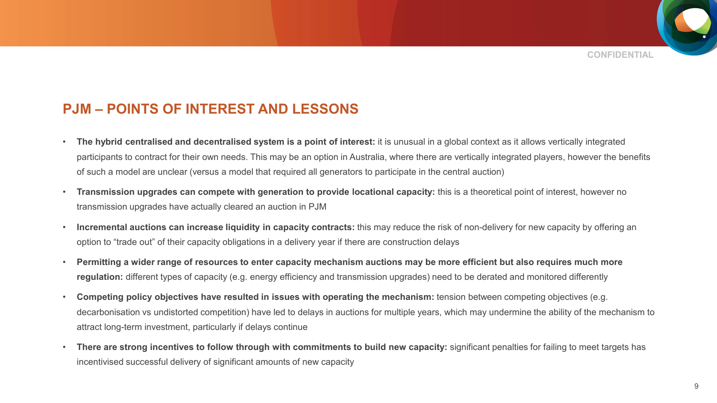

### **PJM – POINTS OF INTEREST AND LESSONS**

- **The hybrid centralised and decentralised system is a point of interest:** it is unusual in a global context as it allows vertically integrated participants to contract for their own needs. This may be an option in Australia, where there are vertically integrated players, however the benefits of such a model are unclear (versus a model that required all generators to participate in the central auction)
- **Transmission upgrades can compete with generation to provide locational capacity:** this is a theoretical point of interest, however no transmission upgrades have actually cleared an auction in PJM
- **Incremental auctions can increase liquidity in capacity contracts:** this may reduce the risk of non-delivery for new capacity by offering an option to "trade out" of their capacity obligations in a delivery year if there are construction delays
- **Permitting a wider range of resources to enter capacity mechanism auctions may be more efficient but also requires much more regulation:** different types of capacity (e.g. energy efficiency and transmission upgrades) need to be derated and monitored differently
- **Competing policy objectives have resulted in issues with operating the mechanism:** tension between competing objectives (e.g. decarbonisation vs undistorted competition) have led to delays in auctions for multiple years, which may undermine the ability of the mechanism to attract long-term investment, particularly if delays continue
- There are strong incentives to follow through with commitments to build new capacity: significant penalties for failing to meet targets has incentivised successful delivery of significant amounts of new capacity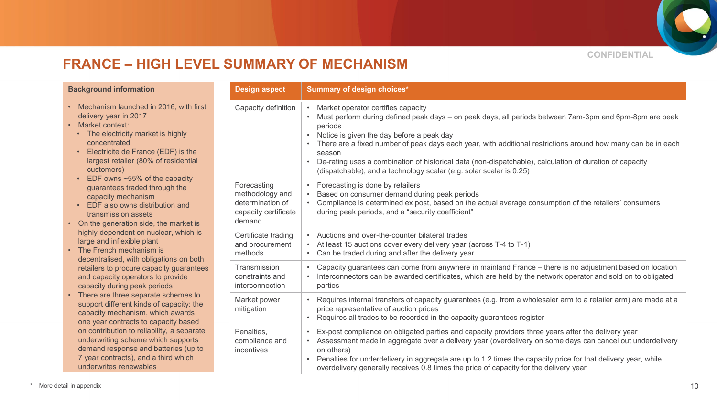

## **FRANCE – HIGH LEVEL SUMMARY OF MECHANISM**

| <b>Background information</b>                                                                                                                                                                                                                         | <b>Design aspect</b>                                                                 | Summary of design choices*                                                                                                                                                                                                                                                                                                                                                                                                                                                                                                    |
|-------------------------------------------------------------------------------------------------------------------------------------------------------------------------------------------------------------------------------------------------------|--------------------------------------------------------------------------------------|-------------------------------------------------------------------------------------------------------------------------------------------------------------------------------------------------------------------------------------------------------------------------------------------------------------------------------------------------------------------------------------------------------------------------------------------------------------------------------------------------------------------------------|
| • Mechanism launched in 2016, with first<br>delivery year in 2017<br>• Market context:<br>• The electricity market is highly<br>concentrated<br>Electricite de France (EDF) is the<br>$\bullet$<br>largest retailer (80% of residential<br>customers) | Capacity definition                                                                  | Market operator certifies capacity<br>Must perform during defined peak days – on peak days, all periods between 7am-3pm and 6pm-8pm are peak<br>periods<br>Notice is given the day before a peak day<br>$\bullet$<br>There are a fixed number of peak days each year, with additional restrictions around how many can be in each<br>season<br>De-rating uses a combination of historical data (non-dispatchable), calculation of duration of capacity<br>(dispatchable), and a technology scalar (e.g. solar scalar is 0.25) |
| EDF owns $~55\%$ of the capacity<br>$\bullet$<br>guarantees traded through the<br>capacity mechanism<br>EDF also owns distribution and<br>transmission assets<br>• On the generation side, the market is                                              | Forecasting<br>methodology and<br>determination of<br>capacity certificate<br>demand | Forecasting is done by retailers<br>Based on consumer demand during peak periods<br>Compliance is determined ex post, based on the actual average consumption of the retailers' consumers<br>during peak periods, and a "security coefficient"                                                                                                                                                                                                                                                                                |
| highly dependent on nuclear, which is<br>large and inflexible plant<br>• The French mechanism is<br>decentralised, with obligations on both                                                                                                           | Certificate trading<br>and procurement<br>methods                                    | • Auctions and over-the-counter bilateral trades<br>At least 15 auctions cover every delivery year (across T-4 to T-1)<br>Can be traded during and after the delivery year                                                                                                                                                                                                                                                                                                                                                    |
| retailers to procure capacity guarantees<br>and capacity operators to provide<br>capacity during peak periods                                                                                                                                         | Transmission<br>constraints and<br>interconnection                                   | Capacity guarantees can come from anywhere in mainland France - there is no adjustment based on location<br>Interconnectors can be awarded certificates, which are held by the network operator and sold on to obligated<br>parties                                                                                                                                                                                                                                                                                           |
| • There are three separate schemes to<br>support different kinds of capacity: the<br>capacity mechanism, which awards<br>one year contracts to capacity based                                                                                         | Market power<br>mitigation                                                           | Requires internal transfers of capacity guarantees (e.g. from a wholesaler arm to a retailer arm) are made at a<br>price representative of auction prices<br>Requires all trades to be recorded in the capacity guarantees register                                                                                                                                                                                                                                                                                           |
| on contribution to reliability, a separate<br>underwriting scheme which supports<br>demand response and batteries (up to<br>7 year contracts), and a third which<br>underwrites renewables                                                            | Penalties,<br>compliance and<br>incentives                                           | Ex-post compliance on obligated parties and capacity providers three years after the delivery year<br>Assessment made in aggregate over a delivery year (overdelivery on some days can cancel out underdelivery<br>on others)<br>Penalties for underdelivery in aggregate are up to 1.2 times the capacity price for that delivery year, while<br>overdelivery generally receives 0.8 times the price of capacity for the delivery year                                                                                       |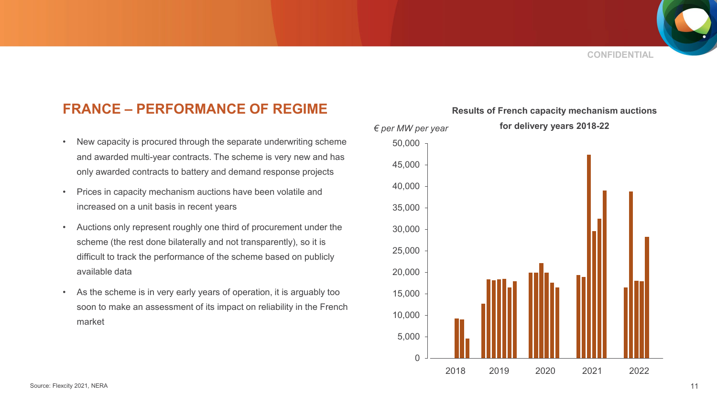### **FRANCE – PERFORMANCE OF REGIME**

- New capacity is procured through the separate underwriting scheme and awarded multi-year contracts. The scheme is very new and has only awarded contracts to battery and demand response projects
- Prices in capacity mechanism auctions have been volatile and increased on a unit basis in recent years
- Auctions only represent roughly one third of procurement under the scheme (the rest done bilaterally and not transparently), so it is difficult to track the performance of the scheme based on publicly available data
- As the scheme is in very early years of operation, it is arguably too soon to make an assessment of its impact on reliability in the French market



**Results of French capacity mechanism auctions**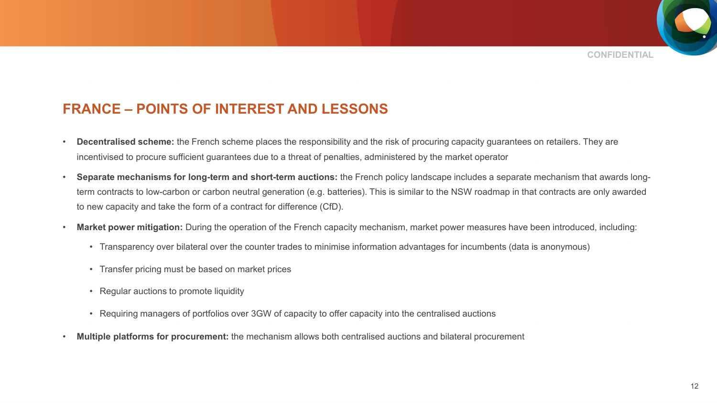

### **FRANCE – POINTS OF INTEREST AND LESSONS**

- **Decentralised scheme:** the French scheme places the responsibility and the risk of procuring capacity guarantees on retailers. They are incentivised to procure sufficient guarantees due to a threat of penalties, administered by the market operator
- **Separate mechanisms for long-term and short-term auctions:** the French policy landscape includes a separate mechanism that awards longterm contracts to low-carbon or carbon neutral generation (e.g. batteries). This is similar to the NSW roadmap in that contracts are only awarded to new capacity and take the form of a contract for difference (CfD).
- **Market power mitigation:** During the operation of the French capacity mechanism, market power measures have been introduced, including:
	- Transparency over bilateral over the counter trades to minimise information advantages for incumbents (data is anonymous)
	- Transfer pricing must be based on market prices
	- Regular auctions to promote liquidity
	- Requiring managers of portfolios over 3GW of capacity to offer capacity into the centralised auctions
- **Multiple platforms for procurement:** the mechanism allows both centralised auctions and bilateral procurement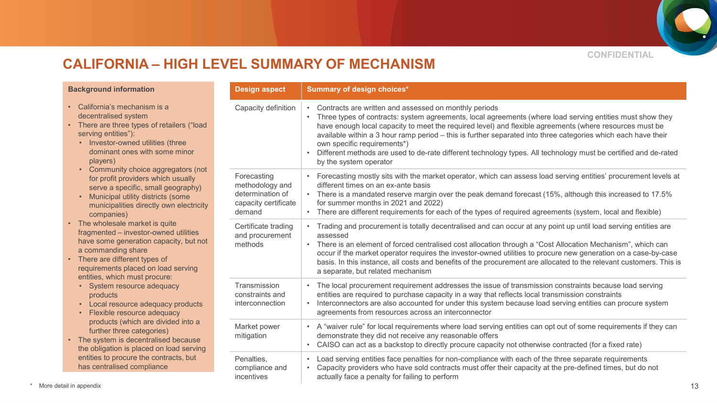

### **CALIFORNIA – HIGH LEVEL SUMMARY OF MECHANISM**

| <b>Background information</b>                                                                                                                                                                                                                      | <b>Design aspect</b>                                                                 | Summary of design choices*                                                                                                                                                                                                                                                                                                                                                                                                                                                                                                                                                 |
|----------------------------------------------------------------------------------------------------------------------------------------------------------------------------------------------------------------------------------------------------|--------------------------------------------------------------------------------------|----------------------------------------------------------------------------------------------------------------------------------------------------------------------------------------------------------------------------------------------------------------------------------------------------------------------------------------------------------------------------------------------------------------------------------------------------------------------------------------------------------------------------------------------------------------------------|
| • California's mechanism is a<br>decentralised system<br>• There are three types of retailers ("load<br>serving entities"):<br>• Investor-owned utilities (three<br>dominant ones with some minor<br>players)                                      | Capacity definition                                                                  | Contracts are written and assessed on monthly periods<br>Three types of contracts: system agreements, local agreements (where load serving entities must show they<br>have enough local capacity to meet the required level) and flexible agreements (where resources must be<br>available within a 3 hour ramp period - this is further separated into three categories which each have their<br>own specific requirements*)<br>Different methods are used to de-rate different technology types. All technology must be certified and de-rated<br>by the system operator |
| • Community choice aggregators (not<br>for profit providers which usually<br>serve a specific, small geography)<br>Municipal utility districts (some<br>municipalities directly own electricity<br>companies)                                      | Forecasting<br>methodology and<br>determination of<br>capacity certificate<br>demand | Forecasting mostly sits with the market operator, which can assess load serving entities' procurement levels at<br>different times on an ex-ante basis<br>• There is a mandated reserve margin over the peak demand forecast (15%, although this increased to 17.5%<br>for summer months in 2021 and 2022)<br>• There are different requirements for each of the types of required agreements (system, local and flexible)                                                                                                                                                 |
| • The wholesale market is quite<br>fragmented - investor-owned utilities<br>have some generation capacity, but not<br>a commanding share<br>• There are different types of<br>requirements placed on load serving<br>entities, which must procure: | Certificate trading<br>and procurement<br>methods                                    | Trading and procurement is totally decentralised and can occur at any point up until load serving entities are<br>assessed<br>• There is an element of forced centralised cost allocation through a "Cost Allocation Mechanism", which can<br>occur if the market operator requires the investor-owned utilities to procure new generation on a case-by-case<br>basis. In this instance, all costs and benefits of the procurement are allocated to the relevant customers. This is<br>a separate, but related mechanism                                                   |
| • System resource adequacy<br>products<br>• Local resource adequacy products<br>Flexible resource adequacy<br>$\bullet$                                                                                                                            | Transmission<br>constraints and<br>interconnection                                   | • The local procurement requirement addresses the issue of transmission constraints because load serving<br>entities are required to purchase capacity in a way that reflects local transmission constraints<br>Interconnectors are also accounted for under this system because load serving entities can procure system<br>agreements from resources across an interconnector                                                                                                                                                                                            |
| products (which are divided into a<br>further three categories)<br>• The system is decentralised because<br>the obligation is placed on load serving                                                                                               | Market power<br>mitigation                                                           | • A "waiver rule" for local requirements where load serving entities can opt out of some requirements if they can<br>demonstrate they did not receive any reasonable offers<br>CAISO can act as a backstop to directly procure capacity not otherwise contracted (for a fixed rate)                                                                                                                                                                                                                                                                                        |
| entities to procure the contracts, but<br>has centralised compliance                                                                                                                                                                               | Penalties,<br>compliance and<br>incentives                                           | Load serving entities face penalties for non-compliance with each of the three separate requirements<br>Capacity providers who have sold contracts must offer their capacity at the pre-defined times, but do not<br>actually face a penalty for failing to perform                                                                                                                                                                                                                                                                                                        |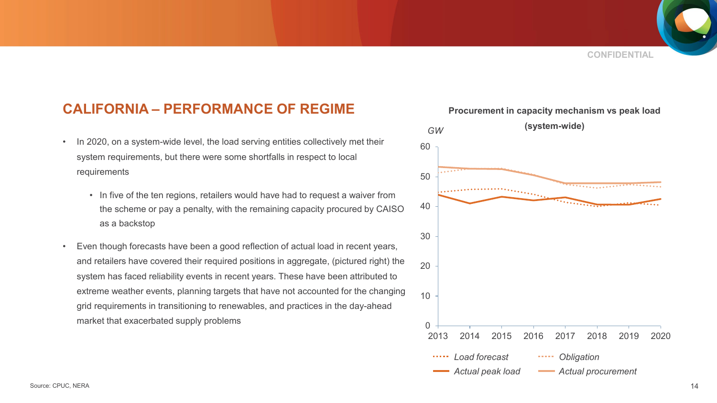### **CALIFORNIA – PERFORMANCE OF REGIME**

- In 2020, on a system-wide level, the load serving entities collectively met their system requirements, but there were some shortfalls in respect to local requirements
	- In five of the ten regions, retailers would have had to request a waiver from the scheme or pay a penalty, with the remaining capacity procured by CAISO as a backstop
- Even though forecasts have been a good reflection of actual load in recent years, and retailers have covered their required positions in aggregate, (pictured right) the system has faced reliability events in recent years. These have been attributed to extreme weather events, planning targets that have not accounted for the changing grid requirements in transitioning to renewables, and practices in the day-ahead market that exacerbated supply problems

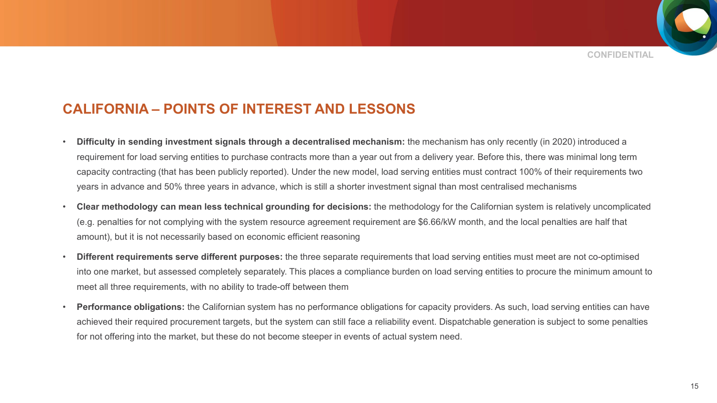### **CALIFORNIA – POINTS OF INTEREST AND LESSONS**

- **Difficulty in sending investment signals through a decentralised mechanism:** the mechanism has only recently (in 2020) introduced a requirement for load serving entities to purchase contracts more than a year out from a delivery year. Before this, there was minimal long term capacity contracting (that has been publicly reported). Under the new model, load serving entities must contract 100% of their requirements two years in advance and 50% three years in advance, which is still a shorter investment signal than most centralised mechanisms
- **Clear methodology can mean less technical grounding for decisions:** the methodology for the Californian system is relatively uncomplicated (e.g. penalties for not complying with the system resource agreement requirement are \$6.66/kW month, and the local penalties are half that amount), but it is not necessarily based on economic efficient reasoning
- **Different requirements serve different purposes:** the three separate requirements that load serving entities must meet are not co-optimised into one market, but assessed completely separately. This places a compliance burden on load serving entities to procure the minimum amount to meet all three requirements, with no ability to trade-off between them
- **Performance obligations:** the Californian system has no performance obligations for capacity providers. As such, load serving entities can have achieved their required procurement targets, but the system can still face a reliability event. Dispatchable generation is subject to some penalties for not offering into the market, but these do not become steeper in events of actual system need.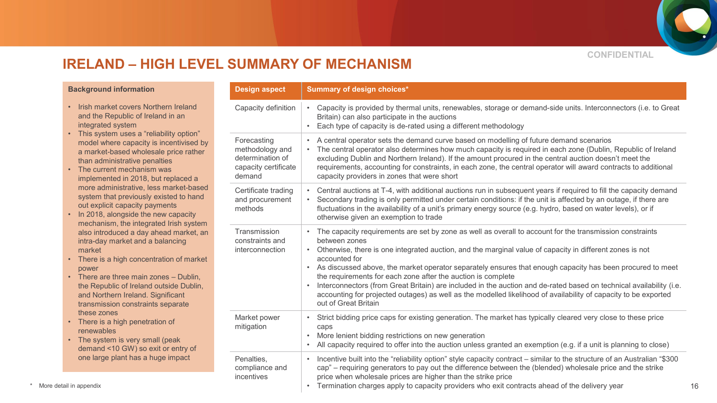

### **IRELAND – HIGH LEVEL SUMMARY OF MECHANISM**

#### **Background information**

- Irish market covers Northern Ireland and the Republic of Ireland in an integrated system
- This system uses a "reliability option" model where capacity is incentivised by a market-based wholesale price rather than administrative penalties
- The current mechanism was implemented in 2018, but replaced a more administrative, less market-based system that previously existed to hand out explicit capacity payments
- In 2018, alongside the new capacity mechanism, the integrated Irish system also introduced a day ahead market, an intra-day market and a balancing market
- There is a high concentration of market power
- There are three main zones Dublin, the Republic of Ireland outside Dublin, and Northern Ireland. Significant transmission constraints separate these zones
- There is a high penetration of renewables
- The system is very small (peak demand <10 GW) so exit or entry of one large plant has a huge impact

| <b>Background information</b>                                                                                                                                                                                                                                                                             | <b>Design aspect</b>                                                                 | <b>Summary of design choices*</b>                                                                                                                                                                                                                                                                                                                                                                                                                                                                                                                                                                                                                                                                     |
|-----------------------------------------------------------------------------------------------------------------------------------------------------------------------------------------------------------------------------------------------------------------------------------------------------------|--------------------------------------------------------------------------------------|-------------------------------------------------------------------------------------------------------------------------------------------------------------------------------------------------------------------------------------------------------------------------------------------------------------------------------------------------------------------------------------------------------------------------------------------------------------------------------------------------------------------------------------------------------------------------------------------------------------------------------------------------------------------------------------------------------|
| • Irish market covers Northern Ireland<br>and the Republic of Ireland in an<br>integrated system                                                                                                                                                                                                          | Capacity definition                                                                  | Capacity is provided by thermal units, renewables, storage or demand-side units. Interconnectors (i.e. to Great<br>Britain) can also participate in the auctions<br>Each type of capacity is de-rated using a different methodology                                                                                                                                                                                                                                                                                                                                                                                                                                                                   |
| • This system uses a "reliability option"<br>model where capacity is incentivised by<br>a market-based wholesale price rather<br>than administrative penalties<br>• The current mechanism was<br>implemented in 2018, but replaced a                                                                      | Forecasting<br>methodology and<br>determination of<br>capacity certificate<br>demand | A central operator sets the demand curve based on modelling of future demand scenarios<br>The central operator also determines how much capacity is required in each zone (Dublin, Republic of Ireland<br>excluding Dublin and Northern Ireland). If the amount procured in the central auction doesn't meet the<br>requirements, accounting for constraints, in each zone, the central operator will award contracts to additional<br>capacity providers in zones that were short                                                                                                                                                                                                                    |
| more administrative, less market-based<br>system that previously existed to hand<br>out explicit capacity payments<br>• In 2018, alongside the new capacity<br>mechanism, the integrated Irish system                                                                                                     | Certificate trading<br>and procurement<br>methods                                    | Central auctions at T-4, with additional auctions run in subsequent years if required to fill the capacity demand<br>Secondary trading is only permitted under certain conditions: if the unit is affected by an outage, if there are<br>fluctuations in the availability of a unit's primary energy source (e.g. hydro, based on water levels), or if<br>otherwise given an exemption to trade                                                                                                                                                                                                                                                                                                       |
| also introduced a day ahead market, an<br>intra-day market and a balancing<br>market<br>• There is a high concentration of market<br>power<br>• There are three main zones - Dublin,<br>the Republic of Ireland outside Dublin,<br>and Northern Ireland. Significant<br>transmission constraints separate | Transmission<br>constraints and<br><i>interconnection</i>                            | The capacity requirements are set by zone as well as overall to account for the transmission constraints<br>between zones<br>Otherwise, there is one integrated auction, and the marginal value of capacity in different zones is not<br>accounted for<br>As discussed above, the market operator separately ensures that enough capacity has been procured to meet<br>the requirements for each zone after the auction is complete<br>Interconnectors (from Great Britain) are included in the auction and de-rated based on technical availability (i.e.<br>accounting for projected outages) as well as the modelled likelihood of availability of capacity to be exported<br>out of Great Britain |
| these zones<br>• There is a high penetration of<br>renewables<br>• The system is very small (peak<br>demand <10 GW) so exit or entry of                                                                                                                                                                   | Market power<br>mitigation                                                           | Strict bidding price caps for existing generation. The market has typically cleared very close to these price<br>caps<br>More lenient bidding restrictions on new generation<br>All capacity required to offer into the auction unless granted an exemption (e.g. if a unit is planning to close)                                                                                                                                                                                                                                                                                                                                                                                                     |
| one large plant has a huge impact<br>More detail in appendix                                                                                                                                                                                                                                              | Penalties,<br>compliance and<br>incentives                                           | Incentive built into the "reliability option" style capacity contract – similar to the structure of an Australian "\$300<br>cap" – requiring generators to pay out the difference between the (blended) wholesale price and the strike<br>price when wholesale prices are higher than the strike price<br>Termination charges apply to capacity providers who exit contracts ahead of the delivery year                                                                                                                                                                                                                                                                                               |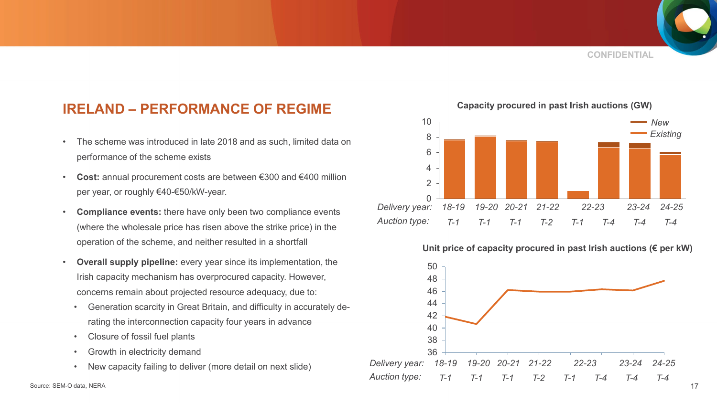**CONFIDENTIAL**

### **IRELAND – PERFORMANCE OF REGIME**

- The scheme was introduced in late 2018 and as such, limited data on performance of the scheme exists
- **Cost:** annual procurement costs are between €300 and €400 million per year, or roughly €40-€50/kW-year.
- **Compliance events:** there have only been two compliance events (where the wholesale price has risen above the strike price) in the operation of the scheme, and neither resulted in a shortfall
- **Overall supply pipeline:** every year since its implementation, the Irish capacity mechanism has overprocured capacity. However, concerns remain about projected resource adequacy, due to:
	- Generation scarcity in Great Britain, and difficulty in accurately derating the interconnection capacity four years in advance
	- Closure of fossil fuel plants
	- Growth in electricity demand
	- New capacity failing to deliver (more detail on next slide)



#### **Unit price of capacity procured in past Irish auctions (€ per kW)**



**Capacity procured in past Irish auctions (GW)**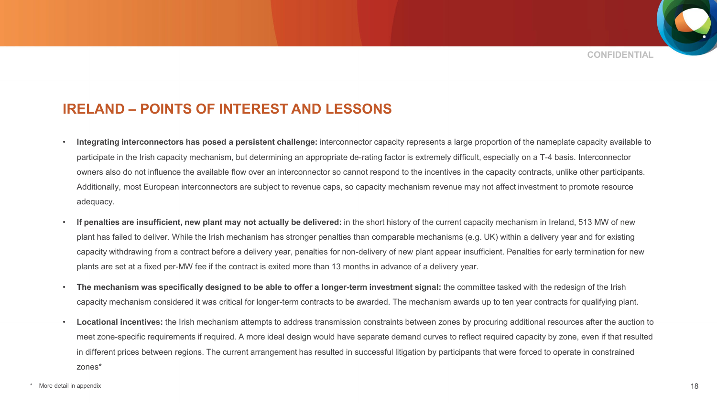**CONFIDENTIAL**

### **IRELAND – POINTS OF INTEREST AND LESSONS**

- **Integrating interconnectors has posed a persistent challenge:** interconnector capacity represents a large proportion of the nameplate capacity available to participate in the Irish capacity mechanism, but determining an appropriate de-rating factor is extremely difficult, especially on a T-4 basis. Interconnector owners also do not influence the available flow over an interconnector so cannot respond to the incentives in the capacity contracts, unlike other participants. Additionally, most European interconnectors are subject to revenue caps, so capacity mechanism revenue may not affect investment to promote resource adequacy.
- **If penalties are insufficient, new plant may not actually be delivered:** in the short history of the current capacity mechanism in Ireland, 513 MW of new plant has failed to deliver. While the Irish mechanism has stronger penalties than comparable mechanisms (e.g. UK) within a delivery year and for existing capacity withdrawing from a contract before a delivery year, penalties for non-delivery of new plant appear insufficient. Penalties for early termination for new plants are set at a fixed per-MW fee if the contract is exited more than 13 months in advance of a delivery year.
- The mechanism was specifically designed to be able to offer a longer-term investment signal: the committee tasked with the redesign of the Irish capacity mechanism considered it was critical for longer-term contracts to be awarded. The mechanism awards up to ten year contracts for qualifying plant.
- **Locational incentives:** the Irish mechanism attempts to address transmission constraints between zones by procuring additional resources after the auction to meet zone-specific requirements if required. A more ideal design would have separate demand curves to reflect required capacity by zone, even if that resulted in different prices between regions. The current arrangement has resulted in successful litigation by participants that were forced to operate in constrained zones\*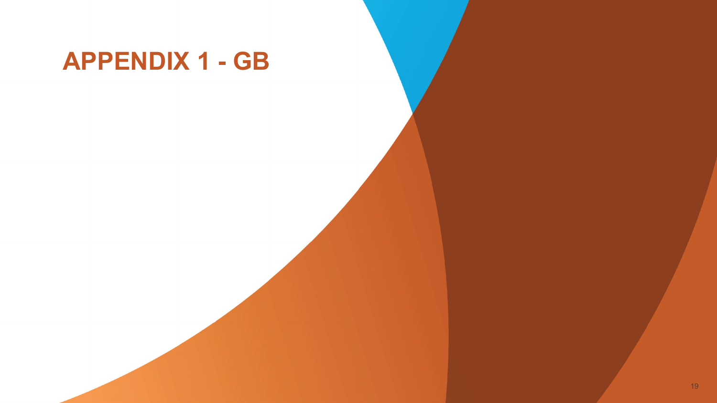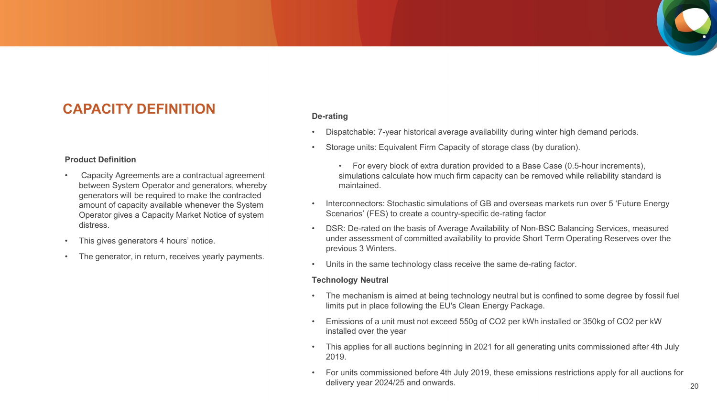### **CAPACITY DEFINITION**

#### **Product Definition**

- Capacity Agreements are a contractual agreement between System Operator and generators, whereby generators will be required to make the contracted amount of capacity available whenever the System Operator gives a Capacity Market Notice of system distress.
- This gives generators 4 hours' notice.
- The generator, in return, receives yearly payments.

#### **De-rating**

- Dispatchable: 7-year historical average availability during winter high demand periods.
- Storage units: Equivalent Firm Capacity of storage class (by duration).
	- For every block of extra duration provided to a Base Case (0.5-hour increments), simulations calculate how much firm capacity can be removed while reliability standard is maintained.
- Interconnectors: Stochastic simulations of GB and overseas markets run over 5 'Future Energy Scenarios' (FES) to create a country-specific de-rating factor
- DSR: De-rated on the basis of Average Availability of Non-BSC Balancing Services, measured under assessment of committed availability to provide Short Term Operating Reserves over the previous 3 Winters.
- Units in the same technology class receive the same de-rating factor.

#### **Technology Neutral**

- The mechanism is aimed at being technology neutral but is confined to some degree by fossil fuel limits put in place following the EU's Clean Energy Package.
- Emissions of a unit must not exceed 550g of CO2 per kWh installed or 350kg of CO2 per kW installed over the year
- This applies for all auctions beginning in 2021 for all generating units commissioned after 4th July 2019.
- For units commissioned before 4th July 2019, these emissions restrictions apply for all auctions for delivery year 2024/25 and onwards.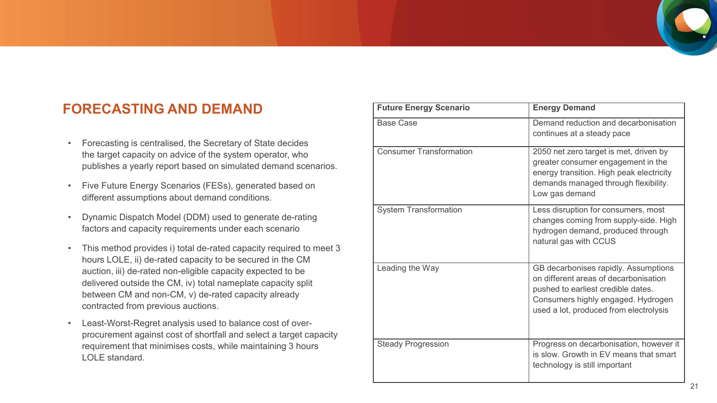

### **FORECASTING AND DEMAND**

- Forecasting is centralised, the Secretary of State decides the target capacity on advice of the system operator, who publishes a yearly report based on simulated demand scenarios.
- Five Future Energy Scenarios (FESs), generated based on different assumptions about demand conditions.
- Dynamic Dispatch Model (DDM) used to generate de-rating factors and capacity requirements under each scenario
- This method provides i) total de-rated capacity required to meet 3 hours LOLE, ii) de-rated capacity to be secured in the CM auction, iii) de-rated non-eligible capacity expected to be delivered outside the CM, iv) total nameplate capacity split between CM and non-CM, v) de-rated capacity already contracted from previous auctions.
- Least-Worst-Regret analysis used to balance cost of overprocurement against cost of shortfall and select a target capacity requirement that minimises costs, while maintaining 3 hours LOLE standard.

| <b>Future Energy Scenario</b>  | <b>Energy Demand</b>                                                                                                                                                                                |
|--------------------------------|-----------------------------------------------------------------------------------------------------------------------------------------------------------------------------------------------------|
| <b>Base Case</b>               | Demand reduction and decarbonisation<br>continues at a steady pace                                                                                                                                  |
| <b>Consumer Transformation</b> | 2050 net zero target is met, driven by<br>greater consumer engagement in the<br>energy transition. High peak electricity<br>demands managed through flexibility.<br>Low gas demand                  |
| <b>System Transformation</b>   | Less disruption for consumers, most<br>changes coming from supply-side. High<br>hydrogen demand, produced through<br>natural gas with CCUS                                                          |
| Leading the Way                | GB decarbonises rapidly. Assumptions<br>on different areas of decarbonisation<br>pushed to earliest credible dates.<br>Consumers highly engaged. Hydrogen<br>used a lot, produced from electrolysis |
| <b>Steady Progression</b>      | Progress on decarbonisation, however it<br>is slow. Growth in EV means that smart<br>technology is still important                                                                                  |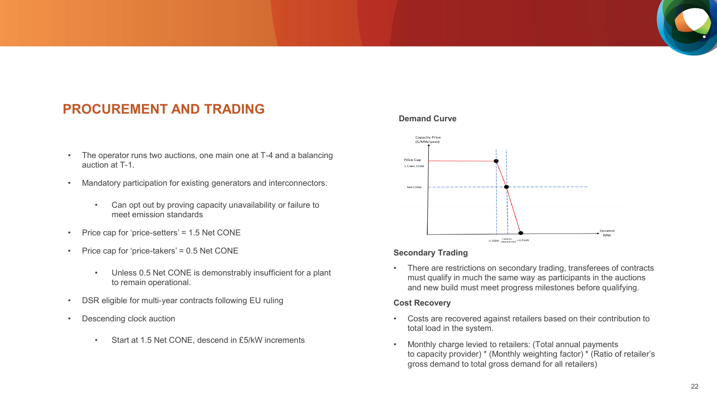### **PROCUREMENT AND TRADING**

- The operator runs two auctions, one main one at T-4 and a balancing auction at T-1.
- Mandatory participation for existing generators and interconnectors.
	- Can opt out by proving capacity unavailability or failure to meet emission standards
- Price cap for 'price-setters' = 1.5 Net CONE
- Price cap for 'price-takers' = 0.5 Net CONE
	- Unless 0.5 Net CONE is demonstrably insufficient for a plant to remain operational.
- DSR eligible for multi-year contracts following EU ruling
- Descending clock auction
	- Start at 1.5 Net CONE, descend in £5/kW increments

#### **Demand Curve**



#### **Secondary Trading**

• There are restrictions on secondary trading, transferees of contracts must qualify in much the same way as participants in the auctions and new build must meet progress milestones before qualifying.

#### **Cost Recovery**

- Costs are recovered against retailers based on their contribution to total load in the system.
- Monthly charge levied to retailers: (Total annual payments to capacity provider) \* (Monthly weighting factor) \* (Ratio of retailer's gross demand to total gross demand for all retailers)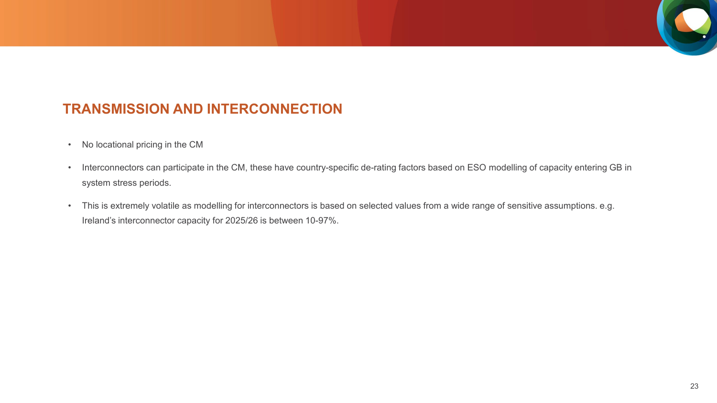### **TRANSMISSION AND INTERCONNECTION**

- No locational pricing in the CM
- Interconnectors can participate in the CM, these have country-specific de-rating factors based on ESO modelling of capacity entering GB in system stress periods.
- This is extremely volatile as modelling for interconnectors is based on selected values from a wide range of sensitive assumptions. e.g. Ireland's interconnector capacity for 2025/26 is between 10-97%.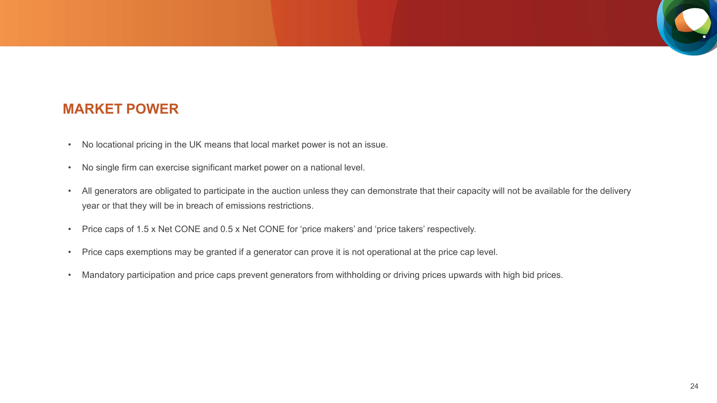### **MARKET POWER**

- No locational pricing in the UK means that local market power is not an issue.
- No single firm can exercise significant market power on a national level.
- All generators are obligated to participate in the auction unless they can demonstrate that their capacity will not be available for the delivery year or that they will be in breach of emissions restrictions.
- Price caps of 1.5 x Net CONE and 0.5 x Net CONE for 'price makers' and 'price takers' respectively.
- Price caps exemptions may be granted if a generator can prove it is not operational at the price cap level.
- Mandatory participation and price caps prevent generators from withholding or driving prices upwards with high bid prices.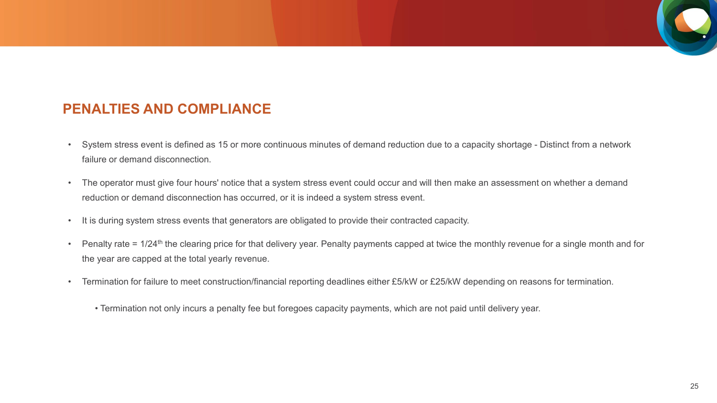

### **PENALTIES AND COMPLIANCE**

- System stress event is defined as 15 or more continuous minutes of demand reduction due to a capacity shortage Distinct from a network failure or demand disconnection.
- The operator must give four hours' notice that a system stress event could occur and will then make an assessment on whether a demand reduction or demand disconnection has occurred, or it is indeed a system stress event.
- It is during system stress events that generators are obligated to provide their contracted capacity.
- Penalty rate =  $1/24$ <sup>th</sup> the clearing price for that delivery year. Penalty payments capped at twice the monthly revenue for a single month and for the year are capped at the total yearly revenue.
- Termination for failure to meet construction/financial reporting deadlines either £5/kW or £25/kW depending on reasons for termination.
	- Termination not only incurs a penalty fee but foregoes capacity payments, which are not paid until delivery year.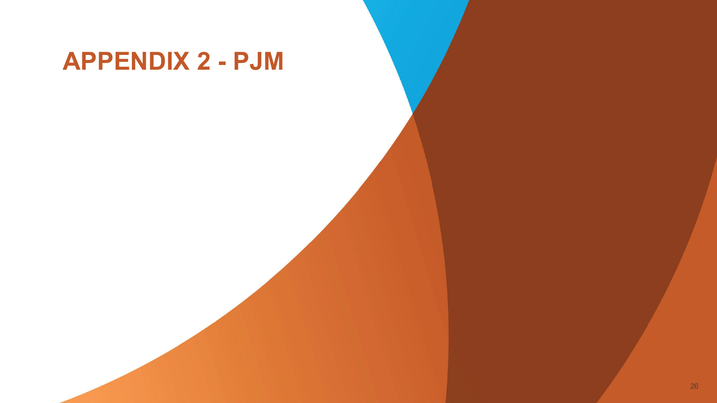# **APPENDIX 2 - PJM**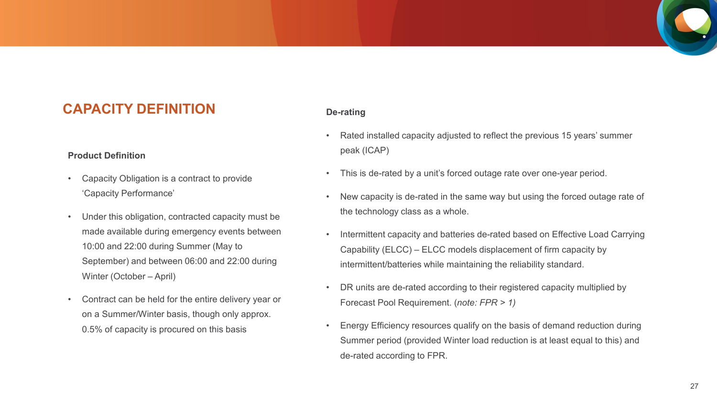### **CAPACITY DEFINITION**

#### **Product Definition**

- Capacity Obligation is a contract to provide 'Capacity Performance'
- Under this obligation, contracted capacity must be made available during emergency events between 10:00 and 22:00 during Summer (May to September) and between 06:00 and 22:00 during Winter (October – April)
- Contract can be held for the entire delivery year or on a Summer/Winter basis, though only approx. 0.5% of capacity is procured on this basis

#### **De-rating**

- Rated installed capacity adjusted to reflect the previous 15 years' summer peak (ICAP)
- This is de-rated by a unit's forced outage rate over one-year period.
- New capacity is de-rated in the same way but using the forced outage rate of the technology class as a whole.
- Intermittent capacity and batteries de-rated based on Effective Load Carrying Capability (ELCC) – ELCC models displacement of firm capacity by intermittent/batteries while maintaining the reliability standard.
- DR units are de-rated according to their registered capacity multiplied by Forecast Pool Requirement. (*note: FPR > 1)*
- Energy Efficiency resources qualify on the basis of demand reduction during Summer period (provided Winter load reduction is at least equal to this) and de-rated according to FPR.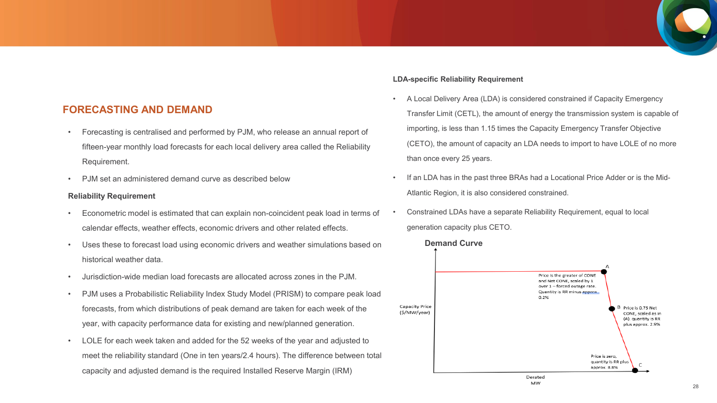

#### **FORECASTING AND DEMAND**

- Forecasting is centralised and performed by PJM, who release an annual report of fifteen-year monthly load forecasts for each local delivery area called the Reliability Requirement.
- PJM set an administered demand curve as described below

#### **Reliability Requirement**

- Econometric model is estimated that can explain non-coincident peak load in terms of calendar effects, weather effects, economic drivers and other related effects.
- Uses these to forecast load using economic drivers and weather simulations based on historical weather data.
- Jurisdiction-wide median load forecasts are allocated across zones in the PJM.
- PJM uses a Probabilistic Reliability Index Study Model (PRISM) to compare peak load forecasts, from which distributions of peak demand are taken for each week of the year, with capacity performance data for existing and new/planned generation.
- LOLE for each week taken and added for the 52 weeks of the year and adjusted to meet the reliability standard (One in ten years/2.4 hours). The difference between total capacity and adjusted demand is the required Installed Reserve Margin (IRM)

#### **LDA-specific Reliability Requirement**

- A Local Delivery Area (LDA) is considered constrained if Capacity Emergency Transfer Limit (CETL), the amount of energy the transmission system is capable of importing, is less than 1.15 times the Capacity Emergency Transfer Objective (CETO), the amount of capacity an LDA needs to import to have LOLE of no more than once every 25 years.
- If an LDA has in the past three BRAs had a Locational Price Adder or is the Mid-Atlantic Region, it is also considered constrained.
- Constrained LDAs have a separate Reliability Requirement, equal to local generation capacity plus CETO.

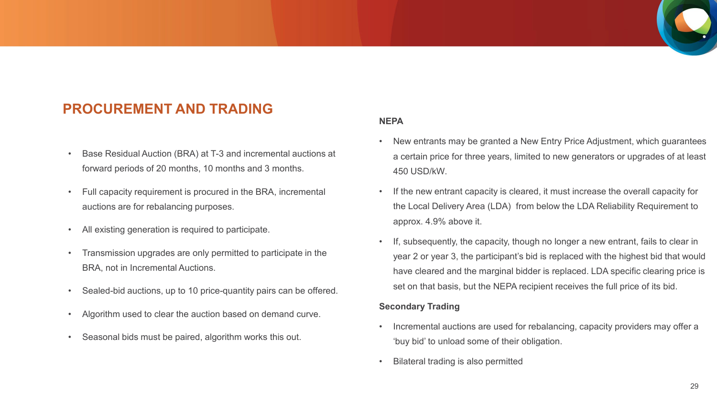## **PROCUREMENT AND TRADING**

- Base Residual Auction (BRA) at T-3 and incremental auctions at forward periods of 20 months, 10 months and 3 months.
- Full capacity requirement is procured in the BRA, incremental auctions are for rebalancing purposes.
- All existing generation is required to participate.
- Transmission upgrades are only permitted to participate in the BRA, not in Incremental Auctions.
- Sealed-bid auctions, up to 10 price-quantity pairs can be offered.
- Algorithm used to clear the auction based on demand curve.
- Seasonal bids must be paired, algorithm works this out.

#### **NEPA**

- New entrants may be granted a New Entry Price Adjustment, which guarantees a certain price for three years, limited to new generators or upgrades of at least 450 USD/kW.
- If the new entrant capacity is cleared, it must increase the overall capacity for the Local Delivery Area (LDA) from below the LDA Reliability Requirement to approx. 4.9% above it.
- If, subsequently, the capacity, though no longer a new entrant, fails to clear in year 2 or year 3, the participant's bid is replaced with the highest bid that would have cleared and the marginal bidder is replaced. LDA specific clearing price is set on that basis, but the NEPA recipient receives the full price of its bid.

#### **Secondary Trading**

- Incremental auctions are used for rebalancing, capacity providers may offer a 'buy bid' to unload some of their obligation.
- Bilateral trading is also permitted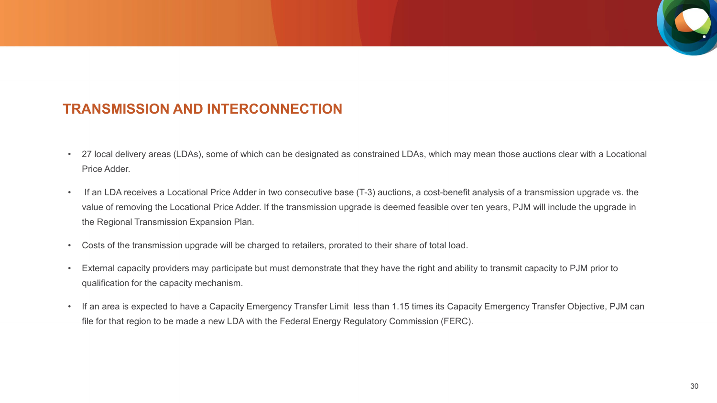### **TRANSMISSION AND INTERCONNECTION**

- 27 local delivery areas (LDAs), some of which can be designated as constrained LDAs, which may mean those auctions clear with a Locational Price Adder.
- If an LDA receives a Locational Price Adder in two consecutive base (T-3) auctions, a cost-benefit analysis of a transmission upgrade vs. the value of removing the Locational Price Adder. If the transmission upgrade is deemed feasible over ten years, PJM will include the upgrade in the Regional Transmission Expansion Plan.
- Costs of the transmission upgrade will be charged to retailers, prorated to their share of total load.
- External capacity providers may participate but must demonstrate that they have the right and ability to transmit capacity to PJM prior to qualification for the capacity mechanism.
- If an area is expected to have a Capacity Emergency Transfer Limit less than 1.15 times its Capacity Emergency Transfer Objective, PJM can file for that region to be made a new LDA with the Federal Energy Regulatory Commission (FERC).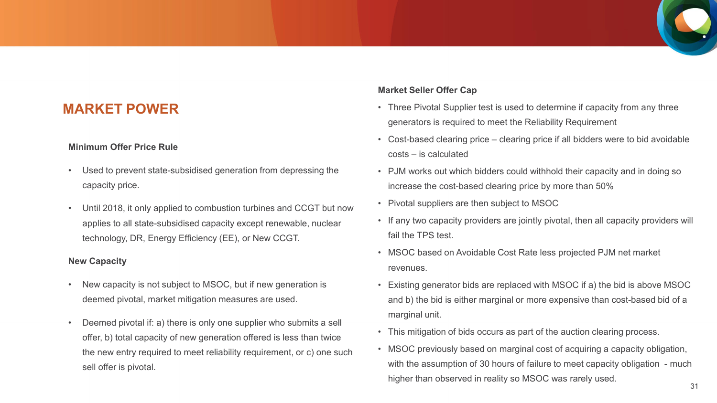### **MARKET POWER**

#### **Minimum Offer Price Rule**

- Used to prevent state-subsidised generation from depressing the capacity price.
- Until 2018, it only applied to combustion turbines and CCGT but now applies to all state-subsidised capacity except renewable, nuclear technology, DR, Energy Efficiency (EE), or New CCGT.

#### **New Capacity**

- New capacity is not subject to MSOC, but if new generation is deemed pivotal, market mitigation measures are used.
- Deemed pivotal if: a) there is only one supplier who submits a sell offer, b) total capacity of new generation offered is less than twice the new entry required to meet reliability requirement, or c) one such sell offer is pivotal.

#### **Market Seller Offer Cap**

- Three Pivotal Supplier test is used to determine if capacity from any three generators is required to meet the Reliability Requirement
- Cost-based clearing price clearing price if all bidders were to bid avoidable costs – is calculated
- PJM works out which bidders could withhold their capacity and in doing so increase the cost-based clearing price by more than 50%
- Pivotal suppliers are then subject to MSOC
- If any two capacity providers are jointly pivotal, then all capacity providers will fail the TPS test.
- MSOC based on Avoidable Cost Rate less projected PJM net market revenues.
- Existing generator bids are replaced with MSOC if a) the bid is above MSOC and b) the bid is either marginal or more expensive than cost-based bid of a marginal unit.
- This mitigation of bids occurs as part of the auction clearing process.
- MSOC previously based on marginal cost of acquiring a capacity obligation, with the assumption of 30 hours of failure to meet capacity obligation - much higher than observed in reality so MSOC was rarely used.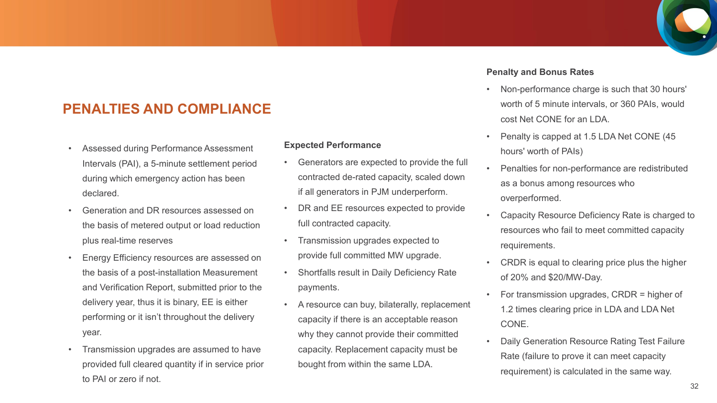## **PENALTIES AND COMPLIANCE**

- Assessed during Performance Assessment Intervals (PAI), a 5-minute settlement period during which emergency action has been declared.
- Generation and DR resources assessed on the basis of metered output or load reduction plus real-time reserves
- Energy Efficiency resources are assessed on the basis of a post-installation Measurement and Verification Report, submitted prior to the delivery year, thus it is binary, EE is either performing or it isn't throughout the delivery year.
- Transmission upgrades are assumed to have provided full cleared quantity if in service prior to PAI or zero if not.

#### **Expected Performance**

- Generators are expected to provide the full contracted de-rated capacity, scaled down if all generators in PJM underperform.
- DR and EE resources expected to provide full contracted capacity.
- Transmission upgrades expected to provide full committed MW upgrade.
- Shortfalls result in Daily Deficiency Rate payments.
- A resource can buy, bilaterally, replacement capacity if there is an acceptable reason why they cannot provide their committed capacity. Replacement capacity must be bought from within the same LDA.

#### **Penalty and Bonus Rates**

- Non-performance charge is such that 30 hours' worth of 5 minute intervals, or 360 PAIs, would cost Net CONE for an LDA.
- Penalty is capped at 1.5 LDA Net CONE (45 hours' worth of PAIs)
- Penalties for non-performance are redistributed as a bonus among resources who overperformed.
- Capacity Resource Deficiency Rate is charged to resources who fail to meet committed capacity requirements.
- CRDR is equal to clearing price plus the higher of 20% and \$20/MW-Day.
- For transmission upgrades, CRDR = higher of 1.2 times clearing price in LDA and LDA Net CONE.
- Daily Generation Resource Rating Test Failure Rate (failure to prove it can meet capacity requirement) is calculated in the same way.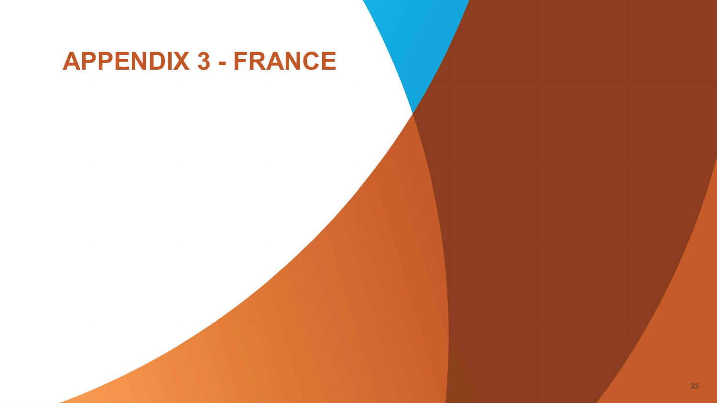# **APPENDIX 3 - FRANCE**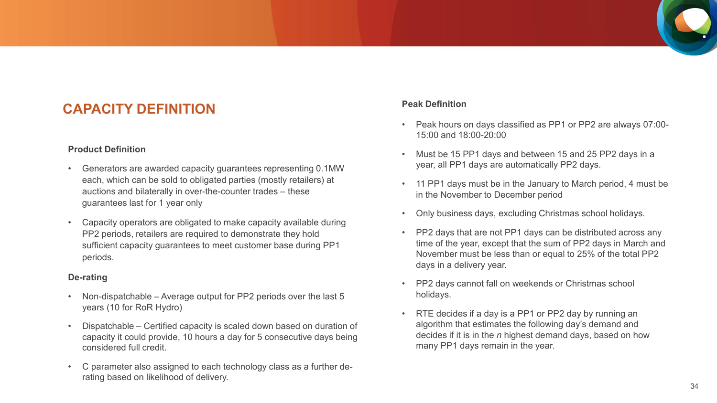## **CAPACITY DEFINITION**

#### **Product Definition**

- Generators are awarded capacity guarantees representing 0.1MW each, which can be sold to obligated parties (mostly retailers) at auctions and bilaterally in over-the-counter trades – these guarantees last for 1 year only
- Capacity operators are obligated to make capacity available during PP2 periods, retailers are required to demonstrate they hold sufficient capacity guarantees to meet customer base during PP1 periods.

#### **De-rating**

- Non-dispatchable Average output for PP2 periods over the last 5 years (10 for RoR Hydro)
- Dispatchable Certified capacity is scaled down based on duration of capacity it could provide, 10 hours a day for 5 consecutive days being considered full credit.
- C parameter also assigned to each technology class as a further derating based on likelihood of delivery.

#### **Peak Definition**

- Peak hours on days classified as PP1 or PP2 are always 07:00- 15:00 and 18:00-20:00
- Must be 15 PP1 days and between 15 and 25 PP2 days in a year, all PP1 days are automatically PP2 days.
- 11 PP1 days must be in the January to March period, 4 must be in the November to December period
- Only business days, excluding Christmas school holidays.
- PP2 days that are not PP1 days can be distributed across any time of the year, except that the sum of PP2 days in March and November must be less than or equal to 25% of the total PP2 days in a delivery year.
- PP2 days cannot fall on weekends or Christmas school holidays.
- RTE decides if a day is a PP1 or PP2 day by running an algorithm that estimates the following day's demand and decides if it is in the *n* highest demand days, based on how many PP1 days remain in the year.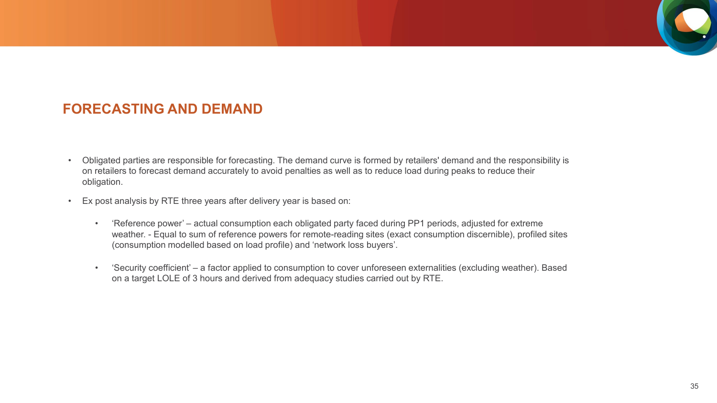### **FORECASTING AND DEMAND**

- Obligated parties are responsible for forecasting. The demand curve is formed by retailers' demand and the responsibility is on retailers to forecast demand accurately to avoid penalties as well as to reduce load during peaks to reduce their obligation.
- Ex post analysis by RTE three years after delivery year is based on:
	- 'Reference power' actual consumption each obligated party faced during PP1 periods, adjusted for extreme weather. - Equal to sum of reference powers for remote-reading sites (exact consumption discernible), profiled sites (consumption modelled based on load profile) and 'network loss buyers'.
	- 'Security coefficient' a factor applied to consumption to cover unforeseen externalities (excluding weather). Based on a target LOLE of 3 hours and derived from adequacy studies carried out by RTE.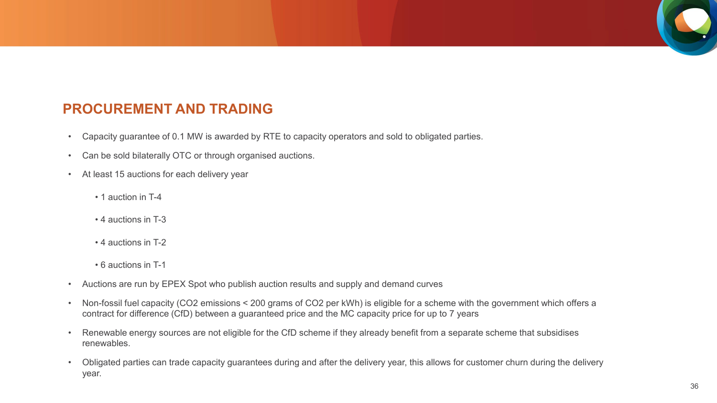## **PROCUREMENT AND TRADING**

- Capacity guarantee of 0.1 MW is awarded by RTE to capacity operators and sold to obligated parties.
- Can be sold bilaterally OTC or through organised auctions.
- At least 15 auctions for each delivery year
	- 1 auction in T-4
	- 4 auctions in T-3
	- 4 auctions in T-2
	- 6 auctions in T-1
- Auctions are run by EPEX Spot who publish auction results and supply and demand curves
- Non-fossil fuel capacity (CO2 emissions < 200 grams of CO2 per kWh) is eligible for a scheme with the government which offers a contract for difference (CfD) between a guaranteed price and the MC capacity price for up to 7 years
- Renewable energy sources are not eligible for the CfD scheme if they already benefit from a separate scheme that subsidises renewables.
- Obligated parties can trade capacity guarantees during and after the delivery year, this allows for customer churn during the delivery year.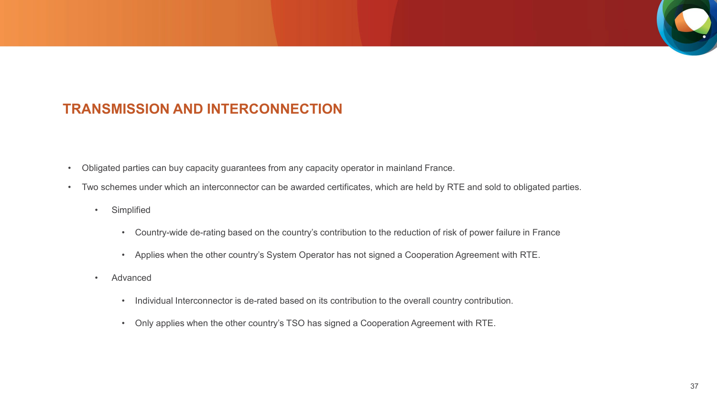## **TRANSMISSION AND INTERCONNECTION**

- Obligated parties can buy capacity guarantees from any capacity operator in mainland France.
- Two schemes under which an interconnector can be awarded certificates, which are held by RTE and sold to obligated parties.
	- Simplified
		- Country-wide de-rating based on the country's contribution to the reduction of risk of power failure in France
		- Applies when the other country's System Operator has not signed a Cooperation Agreement with RTE.
	- Advanced
		- Individual Interconnector is de-rated based on its contribution to the overall country contribution.
		- Only applies when the other country's TSO has signed a Cooperation Agreement with RTE.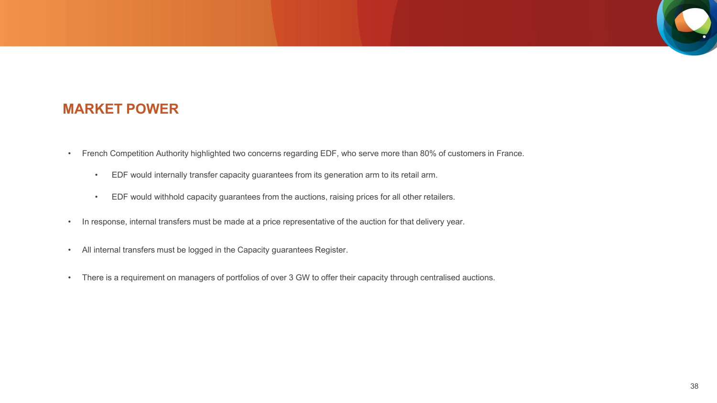

### **MARKET POWER**

- French Competition Authority highlighted two concerns regarding EDF, who serve more than 80% of customers in France.
	- EDF would internally transfer capacity guarantees from its generation arm to its retail arm.
	- EDF would withhold capacity guarantees from the auctions, raising prices for all other retailers.
- In response, internal transfers must be made at a price representative of the auction for that delivery year.
- All internal transfers must be logged in the Capacity guarantees Register.
- There is a requirement on managers of portfolios of over 3 GW to offer their capacity through centralised auctions.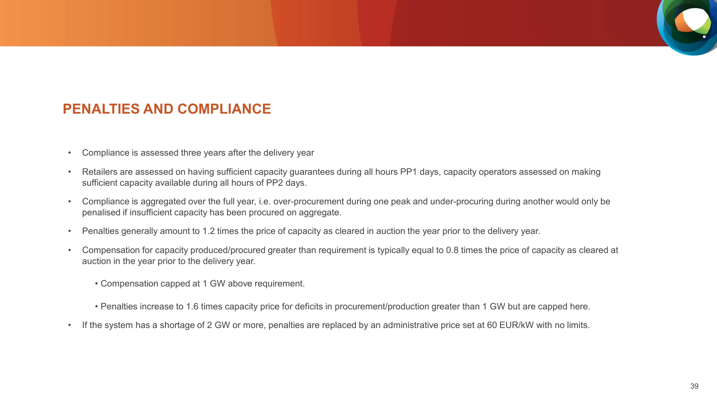## **PENALTIES AND COMPLIANCE**

- Compliance is assessed three years after the delivery year
- Retailers are assessed on having sufficient capacity guarantees during all hours PP1 days, capacity operators assessed on making sufficient capacity available during all hours of PP2 days.
- Compliance is aggregated over the full year, i.e. over-procurement during one peak and under-procuring during another would only be penalised if insufficient capacity has been procured on aggregate.
- Penalties generally amount to 1.2 times the price of capacity as cleared in auction the year prior to the delivery year.
- Compensation for capacity produced/procured greater than requirement is typically equal to 0.8 times the price of capacity as cleared at auction in the year prior to the delivery year.
	- Compensation capped at 1 GW above requirement.
	- Penalties increase to 1.6 times capacity price for deficits in procurement/production greater than 1 GW but are capped here.
- If the system has a shortage of 2 GW or more, penalties are replaced by an administrative price set at 60 EUR/kW with no limits.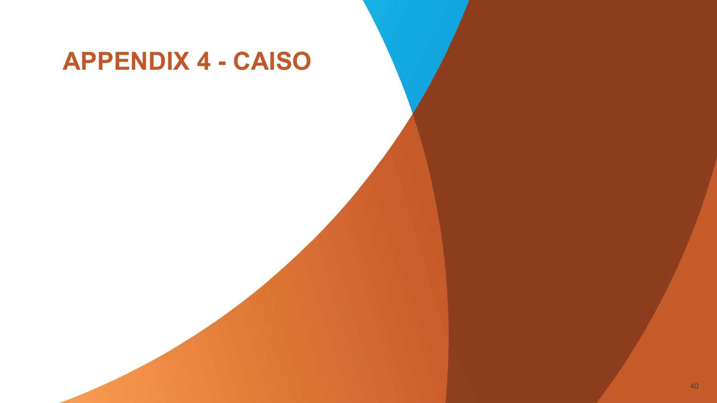# **APPENDIX 4 - CAISO**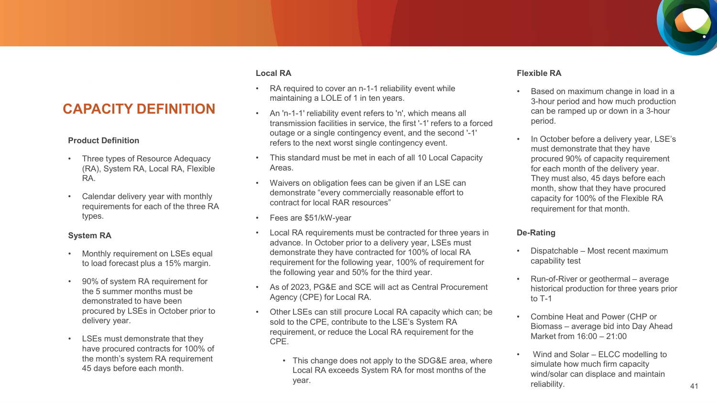### **CAPACITY DEFINITION**

#### **Product Definition**

- Three types of Resource Adequacy (RA), System RA, Local RA, Flexible RA.
- Calendar delivery year with monthly requirements for each of the three RA types.

#### **System RA**

- Monthly requirement on LSEs equal to load forecast plus a 15% margin.
- 90% of system RA requirement for the 5 summer months must be demonstrated to have been procured by LSEs in October prior to delivery year.
- LSEs must demonstrate that they have procured contracts for 100% of the month's system RA requirement 45 days before each month.

#### **Local RA**

- RA required to cover an n-1-1 reliability event while maintaining a LOLE of 1 in ten years.
- An 'n-1-1' reliability event refers to 'n', which means all transmission facilities in service, the first '-1' refers to a forced outage or a single contingency event, and the second '-1' refers to the next worst single contingency event.
- This standard must be met in each of all 10 Local Capacity Areas.
- Waivers on obligation fees can be given if an LSE can demonstrate "every commercially reasonable effort to contract for local RAR resources"
- Fees are \$51/kW-year
- Local RA requirements must be contracted for three years in advance. In October prior to a delivery year, LSEs must demonstrate they have contracted for 100% of local RA requirement for the following year, 100% of requirement for the following year and 50% for the third year.
- As of 2023, PG&E and SCE will act as Central Procurement Agency (CPE) for Local RA.
- Other LSEs can still procure Local RA capacity which can; be sold to the CPE, contribute to the LSE's System RA requirement, or reduce the Local RA requirement for the CPE.
	- This change does not apply to the SDG&E area, where Local RA exceeds System RA for most months of the year.

#### **Flexible RA**

- Based on maximum change in load in a 3-hour period and how much production can be ramped up or down in a 3-hour period.
- In October before a delivery year, LSE's must demonstrate that they have procured 90% of capacity requirement for each month of the delivery year. They must also, 45 days before each month, show that they have procured capacity for 100% of the Flexible RA requirement for that month.

#### **De-Rating**

- Dispatchable Most recent maximum capability test
- Run-of-River or geothermal average historical production for three years prior to T-1
- Combine Heat and Power (CHP or Biomass – average bid into Day Ahead Market from 16:00 – 21:00
- Wind and Solar ELCC modelling to simulate how much firm capacity wind/solar can displace and maintain reliability.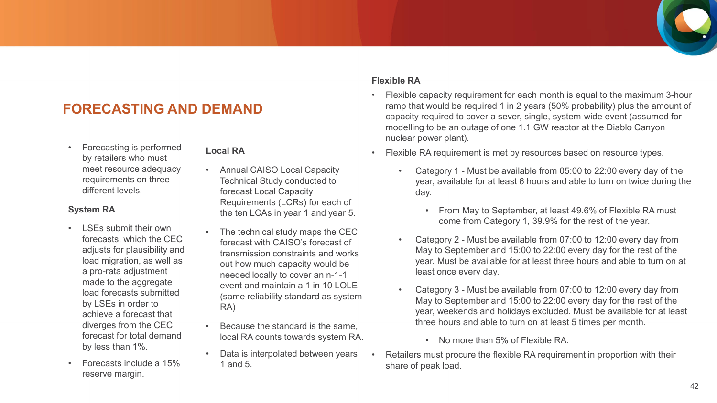## **FORECASTING AND DEMAND**

• Forecasting is performed by retailers who must meet resource adequacy requirements on three different levels.

#### **System RA**

- LSEs submit their own forecasts, which the CEC adjusts for plausibility and load migration, as well as a pro-rata adjustment made to the aggregate load forecasts submitted by LSEs in order to achieve a forecast that diverges from the CEC forecast for total demand by less than 1%.
- Forecasts include a 15% reserve margin.

#### **Local RA**

- Annual CAISO Local Capacity Technical Study conducted to forecast Local Capacity Requirements (LCRs) for each of the ten LCAs in year 1 and year 5.
- The technical study maps the CEC forecast with CAISO's forecast of transmission constraints and works out how much capacity would be needed locally to cover an n-1-1 event and maintain a 1 in 10 LOLE (same reliability standard as system RA)
- Because the standard is the same, local RA counts towards system RA.
- Data is interpolated between years 1 and 5.

#### **Flexible RA**

- Flexible capacity requirement for each month is equal to the maximum 3-hour ramp that would be required 1 in 2 years (50% probability) plus the amount of capacity required to cover a sever, single, system-wide event (assumed for modelling to be an outage of one 1.1 GW reactor at the Diablo Canyon nuclear power plant).
- Flexible RA requirement is met by resources based on resource types.
	- Category 1 Must be available from 05:00 to 22:00 every day of the year, available for at least 6 hours and able to turn on twice during the day.
		- From May to September, at least 49.6% of Flexible RA must come from Category 1, 39.9% for the rest of the year.
	- Category 2 Must be available from 07:00 to 12:00 every day from May to September and 15:00 to 22:00 every day for the rest of the year. Must be available for at least three hours and able to turn on at least once every day.
	- Category 3 Must be available from 07:00 to 12:00 every day from May to September and 15:00 to 22:00 every day for the rest of the year, weekends and holidays excluded. Must be available for at least three hours and able to turn on at least 5 times per month.
		- No more than 5% of Flexible RA.
- Retailers must procure the flexible RA requirement in proportion with their share of peak load.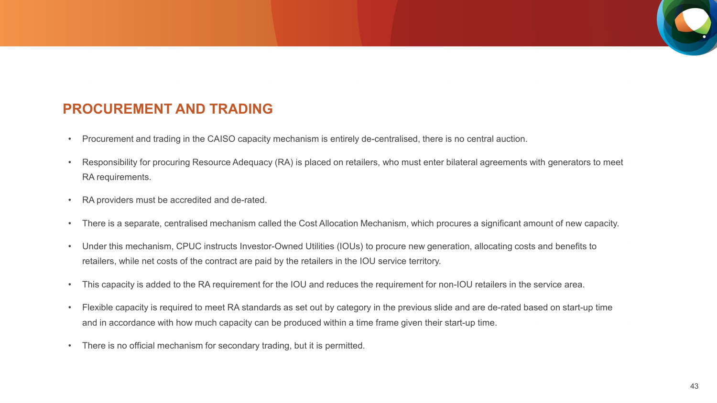## **PROCUREMENT AND TRADING**

- Procurement and trading in the CAISO capacity mechanism is entirely de-centralised, there is no central auction.
- Responsibility for procuring Resource Adequacy (RA) is placed on retailers, who must enter bilateral agreements with generators to meet RA requirements.
- RA providers must be accredited and de-rated.
- There is a separate, centralised mechanism called the Cost Allocation Mechanism, which procures a significant amount of new capacity.
- Under this mechanism, CPUC instructs Investor-Owned Utilities (IOUs) to procure new generation, allocating costs and benefits to retailers, while net costs of the contract are paid by the retailers in the IOU service territory.
- This capacity is added to the RA requirement for the IOU and reduces the requirement for non-IOU retailers in the service area.
- Flexible capacity is required to meet RA standards as set out by category in the previous slide and are de-rated based on start-up time and in accordance with how much capacity can be produced within a time frame given their start-up time.
- There is no official mechanism for secondary trading, but it is permitted.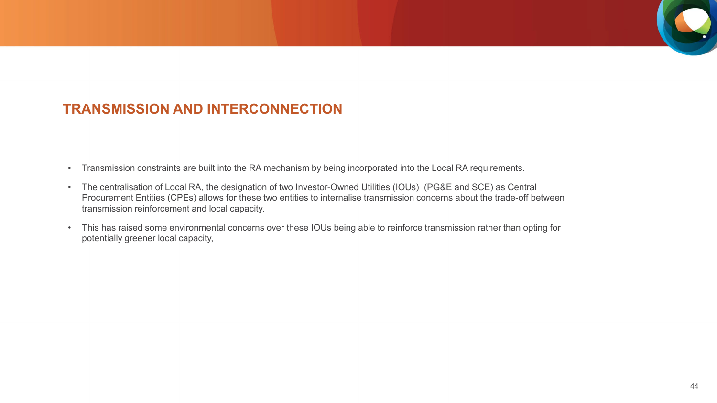### **TRANSMISSION AND INTERCONNECTION**

- Transmission constraints are built into the RA mechanism by being incorporated into the Local RA requirements.
- The centralisation of Local RA, the designation of two Investor-Owned Utilities (IOUs) (PG&E and SCE) as Central Procurement Entities (CPEs) allows for these two entities to internalise transmission concerns about the trade-off between transmission reinforcement and local capacity.
- This has raised some environmental concerns over these IOUs being able to reinforce transmission rather than opting for potentially greener local capacity,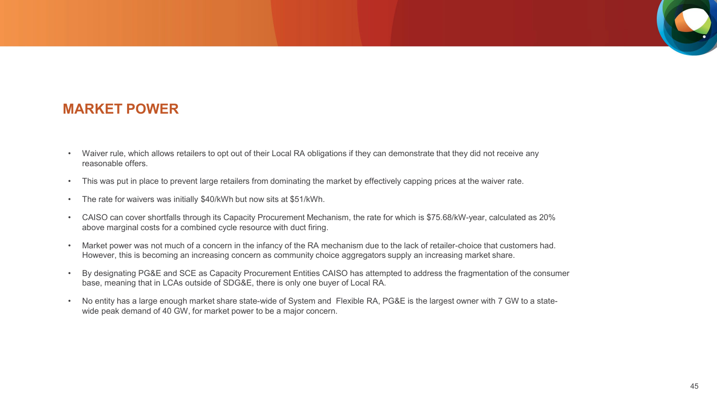### **MARKET POWER**

- Waiver rule, which allows retailers to opt out of their Local RA obligations if they can demonstrate that they did not receive any reasonable offers.
- This was put in place to prevent large retailers from dominating the market by effectively capping prices at the waiver rate.
- The rate for waivers was initially \$40/kWh but now sits at \$51/kWh.
- CAISO can cover shortfalls through its Capacity Procurement Mechanism, the rate for which is \$75.68/kW-year, calculated as 20% above marginal costs for a combined cycle resource with duct firing.
- Market power was not much of a concern in the infancy of the RA mechanism due to the lack of retailer-choice that customers had. However, this is becoming an increasing concern as community choice aggregators supply an increasing market share.
- By designating PG&E and SCE as Capacity Procurement Entities CAISO has attempted to address the fragmentation of the consumer base, meaning that in LCAs outside of SDG&E, there is only one buyer of Local RA.
- No entity has a large enough market share state-wide of System and Flexible RA, PG&E is the largest owner with 7 GW to a statewide peak demand of 40 GW, for market power to be a major concern.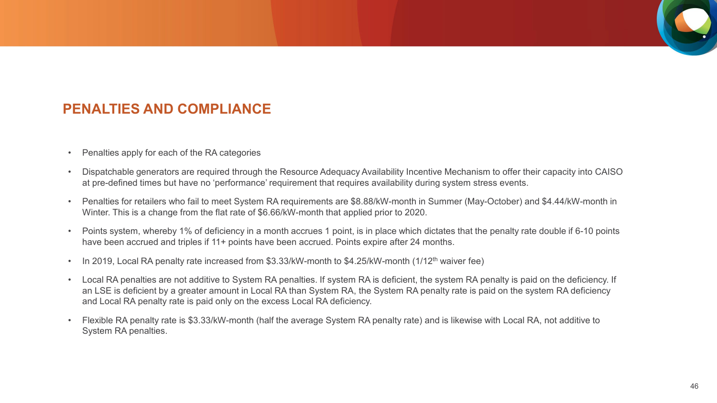## **PENALTIES AND COMPLIANCE**

- Penalties apply for each of the RA categories
- Dispatchable generators are required through the Resource Adequacy Availability Incentive Mechanism to offer their capacity into CAISO at pre-defined times but have no 'performance' requirement that requires availability during system stress events.
- Penalties for retailers who fail to meet System RA requirements are \$8.88/kW-month in Summer (May-October) and \$4.44/kW-month in Winter. This is a change from the flat rate of \$6.66/kW-month that applied prior to 2020.
- Points system, whereby 1% of deficiency in a month accrues 1 point, is in place which dictates that the penalty rate double if 6-10 points have been accrued and triples if 11+ points have been accrued. Points expire after 24 months.
- In 2019, Local RA penalty rate increased from \$3.33/kW-month to \$4.25/kW-month (1/12<sup>th</sup> waiver fee)
- Local RA penalties are not additive to System RA penalties. If system RA is deficient, the system RA penalty is paid on the deficiency. If an LSE is deficient by a greater amount in Local RA than System RA, the System RA penalty rate is paid on the system RA deficiency and Local RA penalty rate is paid only on the excess Local RA deficiency.
- Flexible RA penalty rate is \$3.33/kW-month (half the average System RA penalty rate) and is likewise with Local RA, not additive to System RA penalties.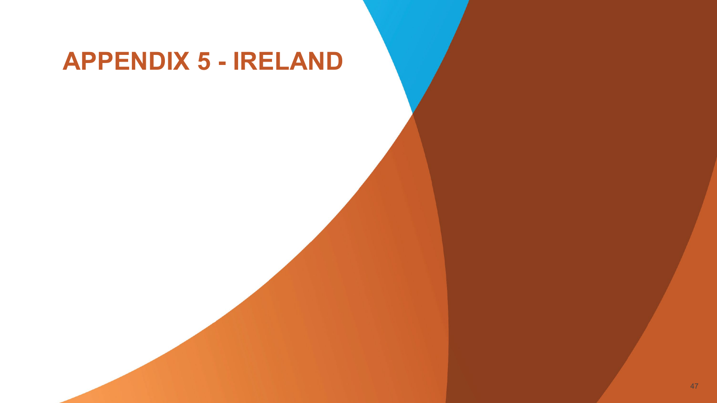# **APPENDIX 5 - IRELAND**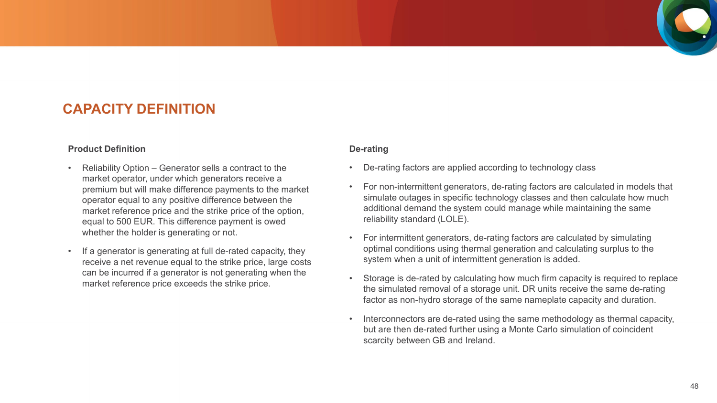### **CAPACITY DEFINITION**

#### **Product Definition**

- Reliability Option Generator sells a contract to the market operator, under which generators receive a premium but will make difference payments to the market operator equal to any positive difference between the market reference price and the strike price of the option, equal to 500 EUR. This difference payment is owed whether the holder is generating or not.
- If a generator is generating at full de-rated capacity, they receive a net revenue equal to the strike price, large costs can be incurred if a generator is not generating when the market reference price exceeds the strike price.

#### **De-rating**

- De-rating factors are applied according to technology class
- For non-intermittent generators, de-rating factors are calculated in models that simulate outages in specific technology classes and then calculate how much additional demand the system could manage while maintaining the same reliability standard (LOLE).
- For intermittent generators, de-rating factors are calculated by simulating optimal conditions using thermal generation and calculating surplus to the system when a unit of intermittent generation is added.
- Storage is de-rated by calculating how much firm capacity is required to replace the simulated removal of a storage unit. DR units receive the same de-rating factor as non-hydro storage of the same nameplate capacity and duration.
- Interconnectors are de-rated using the same methodology as thermal capacity, but are then de-rated further using a Monte Carlo simulation of coincident scarcity between GB and Ireland.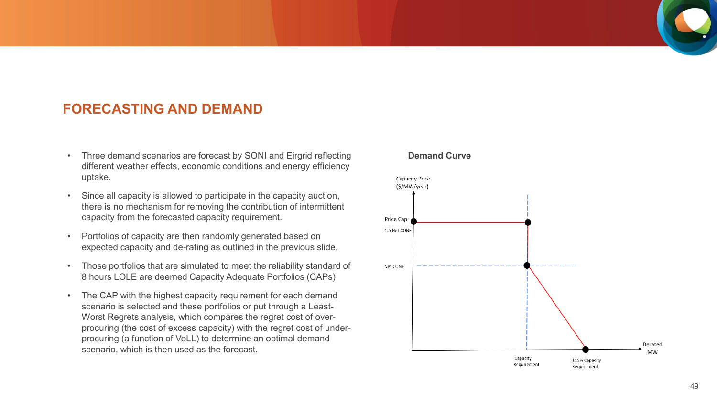### **FORECASTING AND DEMAND**

- Three demand scenarios are forecast by SONI and Eirgrid reflecting different weather effects, economic conditions and energy efficiency uptake.
- Since all capacity is allowed to participate in the capacity auction, there is no mechanism for removing the contribution of intermittent capacity from the forecasted capacity requirement.
- Portfolios of capacity are then randomly generated based on expected capacity and de-rating as outlined in the previous slide.
- Those portfolios that are simulated to meet the reliability standard of 8 hours LOLE are deemed Capacity Adequate Portfolios (CAPs)
- The CAP with the highest capacity requirement for each demand scenario is selected and these portfolios or put through a Least-Worst Regrets analysis, which compares the regret cost of overprocuring (the cost of excess capacity) with the regret cost of underprocuring (a function of VoLL) to determine an optimal demand scenario, which is then used as the forecast.

#### **Demand Curve**

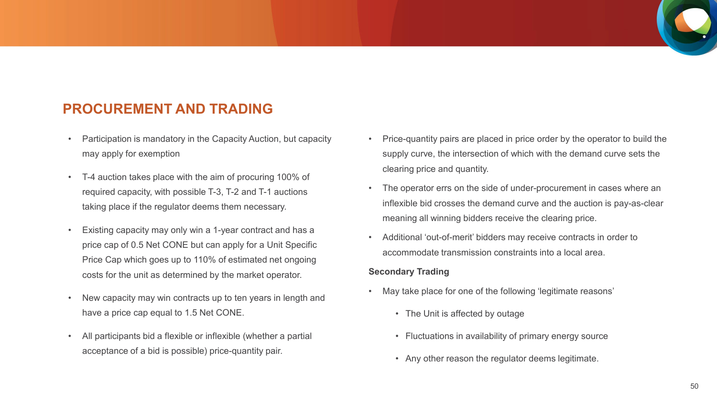### **PROCUREMENT AND TRADING**

- Participation is mandatory in the Capacity Auction, but capacity may apply for exemption
- T-4 auction takes place with the aim of procuring 100% of required capacity, with possible T-3, T-2 and T-1 auctions taking place if the regulator deems them necessary.
- Existing capacity may only win a 1-year contract and has a price cap of 0.5 Net CONE but can apply for a Unit Specific Price Cap which goes up to 110% of estimated net ongoing costs for the unit as determined by the market operator.
- New capacity may win contracts up to ten years in length and have a price cap equal to 1.5 Net CONE.
- All participants bid a flexible or inflexible (whether a partial acceptance of a bid is possible) price-quantity pair.
- Price-quantity pairs are placed in price order by the operator to build the supply curve, the intersection of which with the demand curve sets the clearing price and quantity.
- The operator errs on the side of under-procurement in cases where an inflexible bid crosses the demand curve and the auction is pay-as-clear meaning all winning bidders receive the clearing price.
- Additional 'out-of-merit' bidders may receive contracts in order to accommodate transmission constraints into a local area.

#### **Secondary Trading**

- May take place for one of the following 'legitimate reasons'
	- The Unit is affected by outage
	- Fluctuations in availability of primary energy source
	- Any other reason the regulator deems legitimate.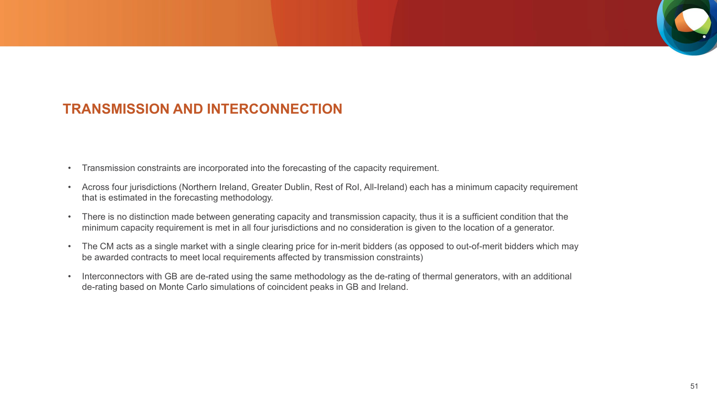### **TRANSMISSION AND INTERCONNECTION**

- Transmission constraints are incorporated into the forecasting of the capacity requirement.
- Across four jurisdictions (Northern Ireland, Greater Dublin, Rest of RoI, All-Ireland) each has a minimum capacity requirement that is estimated in the forecasting methodology.
- There is no distinction made between generating capacity and transmission capacity, thus it is a sufficient condition that the minimum capacity requirement is met in all four jurisdictions and no consideration is given to the location of a generator.
- The CM acts as a single market with a single clearing price for in-merit bidders (as opposed to out-of-merit bidders which may be awarded contracts to meet local requirements affected by transmission constraints)
- Interconnectors with GB are de-rated using the same methodology as the de-rating of thermal generators, with an additional de-rating based on Monte Carlo simulations of coincident peaks in GB and Ireland.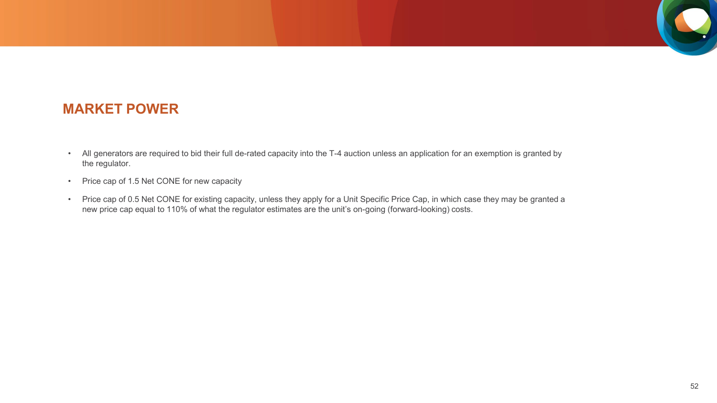

### **MARKET POWER**

- All generators are required to bid their full de-rated capacity into the T-4 auction unless an application for an exemption is granted by the regulator.
- Price cap of 1.5 Net CONE for new capacity
- Price cap of 0.5 Net CONE for existing capacity, unless they apply for a Unit Specific Price Cap, in which case they may be granted a new price cap equal to 110% of what the regulator estimates are the unit's on-going (forward-looking) costs.